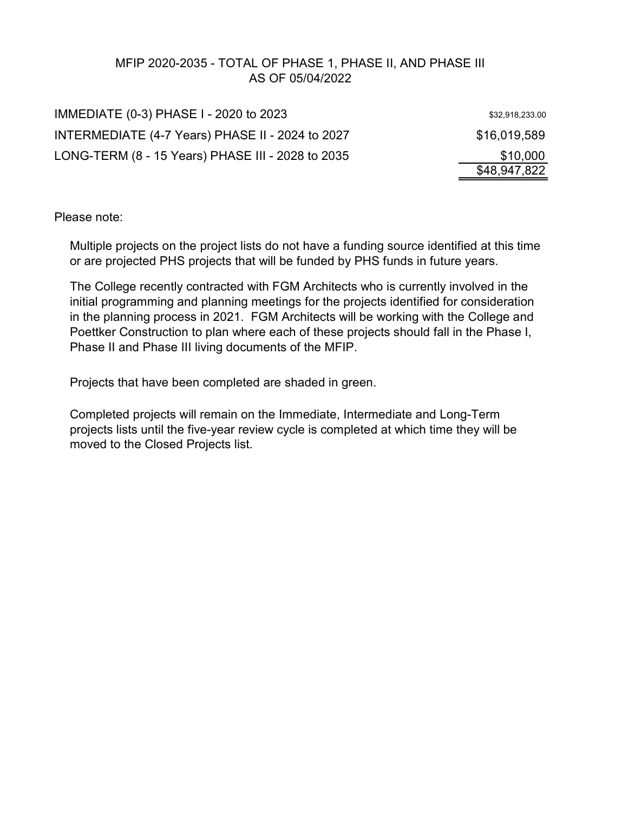# MFIP 2020-2035 - TOTAL OF PHASE 1, PHASE II, AND PHASE III AS OF 05/04/2022

| IMMEDIATE (0-3) PHASE I - 2020 to 2023            | \$32,918,233.00 |
|---------------------------------------------------|-----------------|
| INTERMEDIATE (4-7 Years) PHASE II - 2024 to 2027  | \$16,019,589    |
| LONG-TERM (8 - 15 Years) PHASE III - 2028 to 2035 | \$10,000        |
|                                                   | \$48,947,822    |

Please note:

Multiple projects on the project lists do not have a funding source identified at this time or are projected PHS projects that will be funded by PHS funds in future years.

The College recently contracted with FGM Architects who is currently involved in the initial programming and planning meetings for the projects identified for consideration in the planning process in 2021. FGM Architects will be working with the College and Poettker Construction to plan where each of these projects should fall in the Phase I, Phase II and Phase III living documents of the MFIP.

Projects that have been completed are shaded in green.

Completed projects will remain on the Immediate, Intermediate and Long-Term projects lists until the five-year review cycle is completed at which time they will be moved to the Closed Projects list.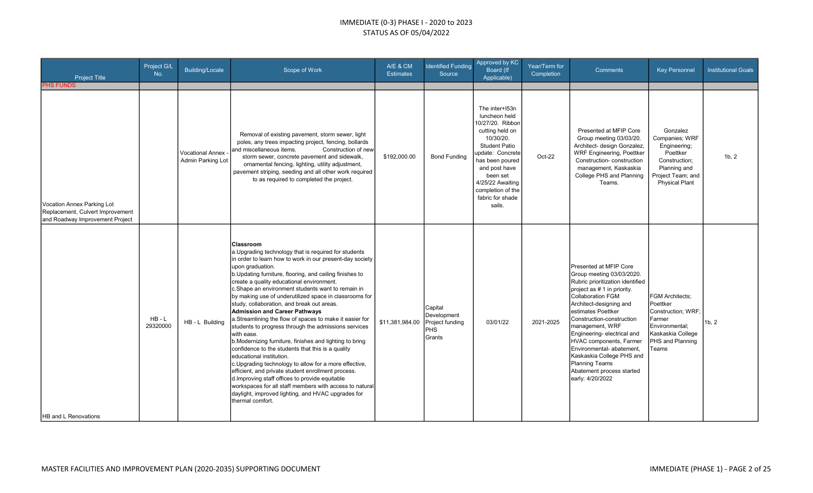| <b>Project Title</b>                                                                                                  | Project G/L<br>No.   | <b>Building/Locale</b>                  | Scope of Work                                                                                                                                                                                                                                                                                                                                                                                                                                                                                                                                                                                                                                                                                                                                                                                                                                                                                                                                                                                                                                                   | A/E & CM<br><b>Estimates</b>    | <b>Identified Funding</b><br>Source                             | Approved by KC<br>Board (If<br>Applicable)                                                                                                                                                                                                             | Year/Term for<br>Completion | <b>Comments</b>                                                                                                                                                                                                                                                                                                                                                                                                                                         | <b>Key Personnel</b>                                                                                                                   | <b>Institutional Goals</b> |
|-----------------------------------------------------------------------------------------------------------------------|----------------------|-----------------------------------------|-----------------------------------------------------------------------------------------------------------------------------------------------------------------------------------------------------------------------------------------------------------------------------------------------------------------------------------------------------------------------------------------------------------------------------------------------------------------------------------------------------------------------------------------------------------------------------------------------------------------------------------------------------------------------------------------------------------------------------------------------------------------------------------------------------------------------------------------------------------------------------------------------------------------------------------------------------------------------------------------------------------------------------------------------------------------|---------------------------------|-----------------------------------------------------------------|--------------------------------------------------------------------------------------------------------------------------------------------------------------------------------------------------------------------------------------------------------|-----------------------------|---------------------------------------------------------------------------------------------------------------------------------------------------------------------------------------------------------------------------------------------------------------------------------------------------------------------------------------------------------------------------------------------------------------------------------------------------------|----------------------------------------------------------------------------------------------------------------------------------------|----------------------------|
| <b>PHS FUNDS</b><br>Vocation Annex Parking Lot<br>Replacement, Culvert Improvement<br>and Roadway Improvement Project |                      | Vocational Annex ·<br>Admin Parking Lot | Removal of existing pavement, storm sewer, light<br>poles, any trees impacting project, fencing, bollards<br>and miscellaneous items.<br>Construction of new<br>storm sewer, concrete pavement and sidewalk,<br>ornamental fencing, lighting, utility adjustment,<br>pavement striping, seeding and all other work required<br>to as required to completed the project.                                                                                                                                                                                                                                                                                                                                                                                                                                                                                                                                                                                                                                                                                         | \$192,000.00                    | <b>Bond Funding</b>                                             | The inter+153n<br>luncheon held<br>10/27/20. Ribbon<br>cutting held on<br>10/30/20.<br><b>Student Patio</b><br>update: Concrete<br>has been poured<br>and post have<br>been set<br>4/25/22 Awaiting<br>completion of the<br>fabric for shade<br>sails. | Oct-22                      | Presented at MFIP Core<br>Group meeting 03/03/20.<br>Architect- design Gonzalez,<br>WRF Engineering, Poettker<br>Construction-construction<br>management, Kaskaskia<br>College PHS and Planning<br>Teams.                                                                                                                                                                                                                                               | Gonzalez<br>Companies; WRF<br>Engineering;<br>Poettker<br>Construction:<br>Planning and<br>Project Team; and<br><b>Physical Plant</b>  | 1b, 2                      |
| <b>HB</b> and L Renovations                                                                                           | $HB - L$<br>29320000 | HB - L Building                         | <b>IClassroom</b><br>a. Upgrading technology that is required for students<br>in order to learn how to work in our present-day society<br>upon graduation.<br>b. Updating furniture, flooring, and ceiling finishes to<br>create a quality educational environment.<br>c. Shape an environment students want to remain in<br>by making use of underutilized space in classrooms for<br>study, collaboration, and break out areas.<br><b>Admission and Career Pathways</b><br>a.Streamlining the flow of spaces to make it easier for<br>students to progress through the admissions services<br>with ease.<br>b. Modernizing furniture, finishes and lighting to bring<br>confidence to the students that this is a quality<br>educational institution.<br>c. Upgrading technology to allow for a more effective,<br>efficient, and private student enrollment process.<br>d. Improving staff offices to provide equitable<br>workspaces for all staff members with access to natural<br>daylight, improved lighting, and HVAC upgrades for<br>thermal comfort. | \$11,381,984.00 Project funding | <b>Capital</b><br>Development<br><b>IPHS</b><br><b>I</b> Grants | 03/01/22                                                                                                                                                                                                                                               | 2021-2025                   | Presented at MFIP Core<br>Group meeting 03/03/2020.<br>Rubric prioritization identified<br>project as # 1 in priority.<br><b>Collaboration FGM</b><br>Architect-designing and<br>estimates Poettker<br>Construction-construction<br>management, WRF<br>Engineering-electrical and<br><b>HVAC</b> components, Farmer<br>Environmental- abatement,<br>Kaskaskia College PHS and<br><b>Planning Teams</b><br>Abatement process started<br>early: 4/20/2022 | <b>FGM Architects:</b><br>Poettker<br>Construction; WRF;<br>Farmer<br>Environmental:<br>Kaskaskia College<br>PHS and Planning<br>Teams | 1b, 2                      |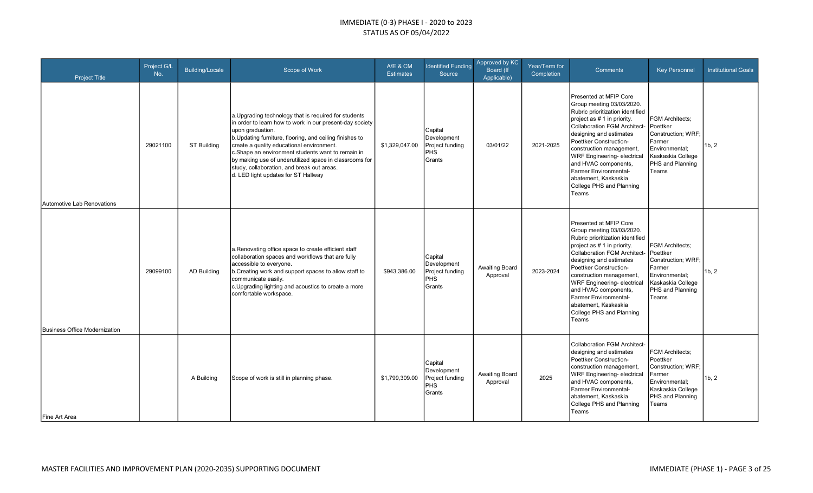| <b>Project Title</b>                 | Project G/L<br>No. | Building/Locale    | Scope of Work                                                                                                                                                                                                                                                                                                                                                                                                                                      | A/E & CM<br><b>Estimates</b> | <b>Identified Funding</b><br>Source                               | Approved by KC<br><b>Board</b> (If<br>Applicable) | Year/Term for<br>Completion | <b>Comments</b>                                                                                                                                                                                                                                                                                                                                                                             | <b>Key Personnel</b>                                                                                                                   | <b>Institutional Goals</b> |
|--------------------------------------|--------------------|--------------------|----------------------------------------------------------------------------------------------------------------------------------------------------------------------------------------------------------------------------------------------------------------------------------------------------------------------------------------------------------------------------------------------------------------------------------------------------|------------------------------|-------------------------------------------------------------------|---------------------------------------------------|-----------------------------|---------------------------------------------------------------------------------------------------------------------------------------------------------------------------------------------------------------------------------------------------------------------------------------------------------------------------------------------------------------------------------------------|----------------------------------------------------------------------------------------------------------------------------------------|----------------------------|
| Automotive Lab Renovations           | 29021100           | ST Building        | a. Upgrading technology that is required for students<br>in order to learn how to work in our present-day society<br>upon graduation.<br>b. Updating furniture, flooring, and ceiling finishes to<br>create a quality educational environment.<br>c.Shape an environment students want to remain in<br>by making use of underutilized space in classrooms for<br>study, collaboration, and break out areas.<br>d. LED light updates for ST Hallway | \$1,329,047.00               | Capital<br>Development<br>Project funding<br><b>PHS</b><br>Grants | 03/01/22                                          | 2021-2025                   | Presented at MFIP Core<br>Group meeting 03/03/2020.<br>Rubric prioritization identified<br>project as # 1 in priority.<br><b>Collaboration FGM Architect-</b><br>designing and estimates<br>Poettker Construction-<br>construction management,<br>WRF Engineering-electrical<br>and HVAC components,<br>Farmer Environmental-<br>abatement, Kaskaskia<br>College PHS and Planning<br>Teams  | <b>FGM Architects:</b><br>Poettker<br>Construction; WRF;<br>Farmer<br>Environmental;<br>Kaskaskia College<br>PHS and Planning<br>Teams | 1b, 2                      |
| <b>Business Office Modernization</b> | 29099100           | <b>AD Building</b> | a. Renovating office space to create efficient staff<br>collaboration spaces and workflows that are fully<br>accessible to everyone.<br>b. Creating work and support spaces to allow staff to<br>communicate easily.<br>c.Upgrading lighting and acoustics to create a more<br>comfortable workspace.                                                                                                                                              | \$943,386.00                 | Capital<br>Development<br>Project funding<br>PHS<br>Grants        | Awaiting Board<br>Approval                        | 2023-2024                   | Presented at MFIP Core<br>Group meeting 03/03/2020.<br>Rubric prioritization identified<br>project as # 1 in priority.<br>Collaboration FGM Architect-<br>designing and estimates<br>Poettker Construction-<br>construction management,<br><b>WRF Engineering- electrical</b><br>and HVAC components,<br>Farmer Environmental-<br>abatement, Kaskaskia<br>College PHS and Planning<br>Teams | <b>FGM Architects:</b><br>Poettker<br>Construction; WRF;<br>Farmer<br>Environmental:<br>Kaskaskia College<br>PHS and Planning<br>Teams | 1b, 2                      |
| Fine Art Area                        |                    | A Building         | Scope of work is still in planning phase.                                                                                                                                                                                                                                                                                                                                                                                                          | \$1,799,309.00               | Capital<br>Development<br>Project funding<br><b>PHS</b><br>Grants | Awaiting Board<br>Approval                        | 2025                        | <b>Collaboration FGM Architect-</b><br>designing and estimates<br>Poettker Construction-<br>construction management,<br>WRF Engineering- electrical<br>and HVAC components,<br>Farmer Environmental-<br>abatement, Kaskaskia<br>College PHS and Planning<br>Teams                                                                                                                           | <b>FGM Architects:</b><br>Poettker<br>Construction; WRF;<br>Farmer<br>Environmental;<br>Kaskaskia College<br>PHS and Planning<br>Teams | 1b, 2                      |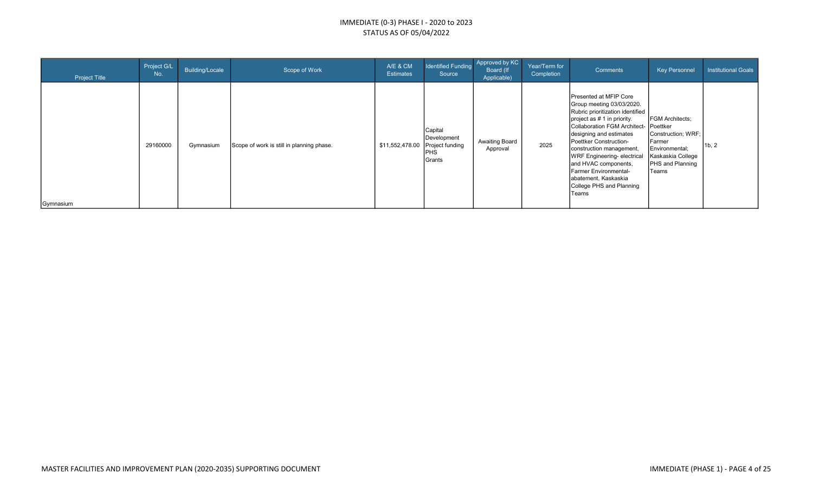| <b>Project Title</b> | Project G/L<br>No. | Building/Locale | Scope of Work                             | A/E & CM<br><b>Estimates</b> | Identified Funding<br>Source                                                      | Approved by KC<br>Board (If<br>Applicable) | Year/Term for<br>Completion | Comments                                                                                                                                                                                                                                                                                                                                                                                                   | <b>Key Personnel</b>                                                                                                              | <b>Institutional Goals</b> |
|----------------------|--------------------|-----------------|-------------------------------------------|------------------------------|-----------------------------------------------------------------------------------|--------------------------------------------|-----------------------------|------------------------------------------------------------------------------------------------------------------------------------------------------------------------------------------------------------------------------------------------------------------------------------------------------------------------------------------------------------------------------------------------------------|-----------------------------------------------------------------------------------------------------------------------------------|----------------------------|
| Gymnasium            | 29160000           | Gymnasium       | Scope of work is still in planning phase. |                              | Capital<br>Development<br>\$11,552,478.00 Project funding<br><b>PHS</b><br>Grants | <b>Awaiting Board</b><br>Approval          | 2025                        | Presented at MFIP Core<br>Group meeting 03/03/2020.<br>Rubric prioritization identified<br>project as # 1 in priority.<br>Collaboration FGM Architect- Poettker<br>designing and estimates<br>Poettker Construction-<br>construction management,<br><b>WRF</b> Engineering-electrical<br>and HVAC components,<br><b>Farmer Environmental-</b><br>abatement, Kaskaskia<br>College PHS and Planning<br>Teams | <b>FGM Architects:</b><br>Construction; WRF;<br>Farmer<br>Environmental;<br>Kaskaskia College<br><b>PHS</b> and Planning<br>Teams | 1b, 2                      |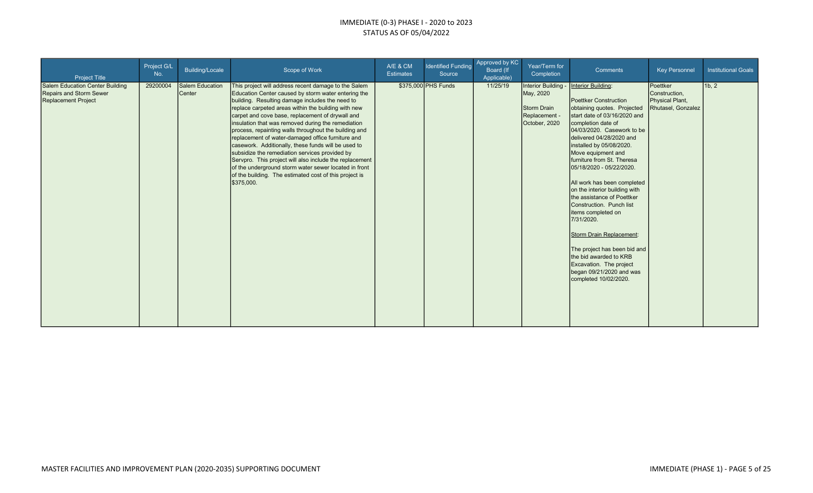| <b>Project Title</b>                                                                     | Project G/L<br>No. | Building/Locale           | Scope of Work                                                                                                                                                                                                                                                                                                                                                                                                                                                                                                                                                                                                                                                                                                                                      | A/E & CM<br><b>Estimates</b> | <b>Identified Funding</b><br>Source | Approved by <b>KC</b><br>Board (If<br>Applicable) | Year/Term for<br>Completion                                                              | Comments                                                                                                                                                                                                                                                                                                                                                                                                                                                                                                                                                                                                                                      | <b>Key Personnel</b>                                               | <b>Institutional Goals</b> |
|------------------------------------------------------------------------------------------|--------------------|---------------------------|----------------------------------------------------------------------------------------------------------------------------------------------------------------------------------------------------------------------------------------------------------------------------------------------------------------------------------------------------------------------------------------------------------------------------------------------------------------------------------------------------------------------------------------------------------------------------------------------------------------------------------------------------------------------------------------------------------------------------------------------------|------------------------------|-------------------------------------|---------------------------------------------------|------------------------------------------------------------------------------------------|-----------------------------------------------------------------------------------------------------------------------------------------------------------------------------------------------------------------------------------------------------------------------------------------------------------------------------------------------------------------------------------------------------------------------------------------------------------------------------------------------------------------------------------------------------------------------------------------------------------------------------------------------|--------------------------------------------------------------------|----------------------------|
| Salem Education Center Building<br><b>Repairs and Storm Sewer</b><br>Replacement Project | 29200004           | Salem Education<br>Center | This project will address recent damage to the Salem<br>Education Center caused by storm water entering the<br>building. Resulting damage includes the need to<br>replace carpeted areas within the building with new<br>carpet and cove base, replacement of drywall and<br>insulation that was removed during the remediation<br>process, repainting walls throughout the building and<br>replacement of water-damaged office furniture and<br>casework. Additionally, these funds will be used to<br>subsidize the remediation services provided by<br>Servpro. This project will also include the replacement<br>of the underground storm water sewer located in front<br>of the building. The estimated cost of this project is<br>\$375,000. |                              | \$375,000 PHS Funds                 | 11/25/19                                          | Interior Building -<br>May, 2020<br><b>Storm Drain</b><br>Replacement -<br>October, 2020 | Interior Building:<br>Poettker Construction<br>obtaining quotes. Projected<br>start date of 03/16/2020 and<br>completion date of<br>04/03/2020. Casework to be<br>delivered 04/28/2020 and<br>installed by 05/08/2020.<br>Move equipment and<br>furniture from St. Theresa<br>05/18/2020 - 05/22/2020.<br>All work has been completed<br>on the interior building with<br>the assistance of Poettker<br>Construction. Punch list<br>litems completed on<br>7/31/2020.<br>Storm Drain Replacement:<br>The project has been bid and<br>the bid awarded to KRB<br>Excavation. The project<br>began $09/21/2020$ and was<br>completed 10/02/2020. | Poettker<br>Construction,<br>Physical Plant,<br>Rhutasel, Gonzalez | 1b, 2                      |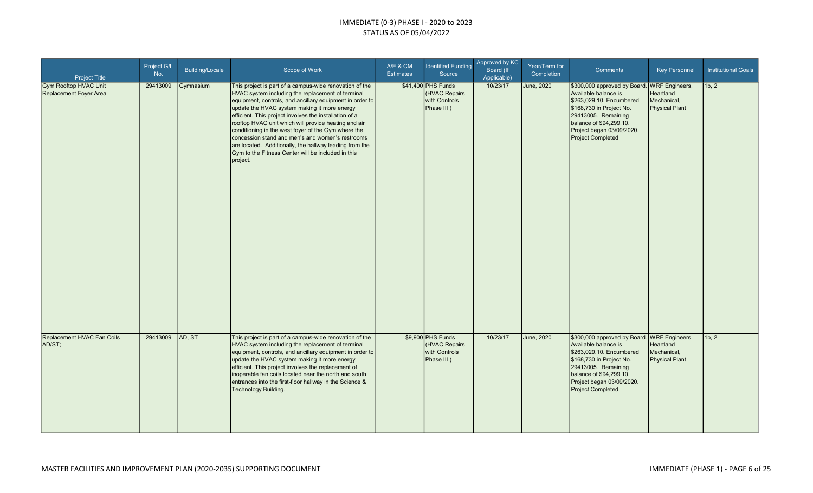| <b>Project Title</b>                                                                 | Project G/L<br>No.   | <b>Building/Locale</b> | Scope of Work                                                                                                                                                                                                                                                                                                                                                                                                                                                                                                                                                                                                                                 | A/E & CM<br><b>Estimates</b> | <b>Identified Funding</b><br>Source                                                     | Approved by KC<br>Board (If<br>Applicable) | Year/Term for<br>Completion     | <b>Comments</b>                                                                                                                                                                                                                                                                       | <b>Key Personnel</b>                              | <b>Institutional Goals</b> |
|--------------------------------------------------------------------------------------|----------------------|------------------------|-----------------------------------------------------------------------------------------------------------------------------------------------------------------------------------------------------------------------------------------------------------------------------------------------------------------------------------------------------------------------------------------------------------------------------------------------------------------------------------------------------------------------------------------------------------------------------------------------------------------------------------------------|------------------------------|-----------------------------------------------------------------------------------------|--------------------------------------------|---------------------------------|---------------------------------------------------------------------------------------------------------------------------------------------------------------------------------------------------------------------------------------------------------------------------------------|---------------------------------------------------|----------------------------|
| <b>Gym Rooftop HVAC Unit</b><br>Replacement Foyer Area<br>Replacement HVAC Fan Coils | 29413009<br>29413009 | Gymnasium<br>AD, ST    | This project is part of a campus-wide renovation of the<br>HVAC system including the replacement of terminal<br>equipment, controls, and ancillary equipment in order to<br>update the HVAC system making it more energy<br>efficient. This project involves the installation of a<br>rooftop HVAC unit which will provide heating and air<br>conditioning in the west foyer of the Gym where the<br>concession stand and men's and women's restrooms<br>are located. Additionally, the hallway leading from the<br>Gym to the Fitness Center will be included in this<br>project.<br>This project is part of a campus-wide renovation of the |                              | \$41,400 PHS Funds<br>(HVAC Repairs<br>with Controls<br>Phase III)<br>\$9,900 PHS Funds | 10/23/17<br>10/23/17                       | <b>June, 2020</b><br>June, 2020 | \$300,000 approved by Board. WRF Engineers,<br>Available balance is<br>\$263,029.10. Encumbered<br>\$168,730 in Project No.<br>29413005. Remaining<br>balance of \$94,299.10.<br>Project began 03/09/2020.<br><b>Project Completed</b><br>\$300,000 approved by Board. WRF Engineers, | Heartland<br>Mechanical,<br><b>Physical Plant</b> | 1b, 2<br>1b, 2             |
| AD/ST;                                                                               |                      |                        | HVAC system including the replacement of terminal<br>equipment, controls, and ancillary equipment in order to<br>update the HVAC system making it more energy<br>efficient. This project involves the replacement of<br>inoperable fan coils located near the north and south<br>entrances into the first-floor hallway in the Science &<br>Technology Building.                                                                                                                                                                                                                                                                              |                              | (HVAC Repairs<br>with Controls<br>Phase III)                                            |                                            |                                 | Available balance is<br>\$263,029.10. Encumbered<br>\$168,730 in Project No.<br>29413005. Remaining<br>balance of \$94,299.10.<br>Project began 03/09/2020.<br><b>Project Completed</b>                                                                                               | Heartland<br>Mechanical,<br><b>Physical Plant</b> |                            |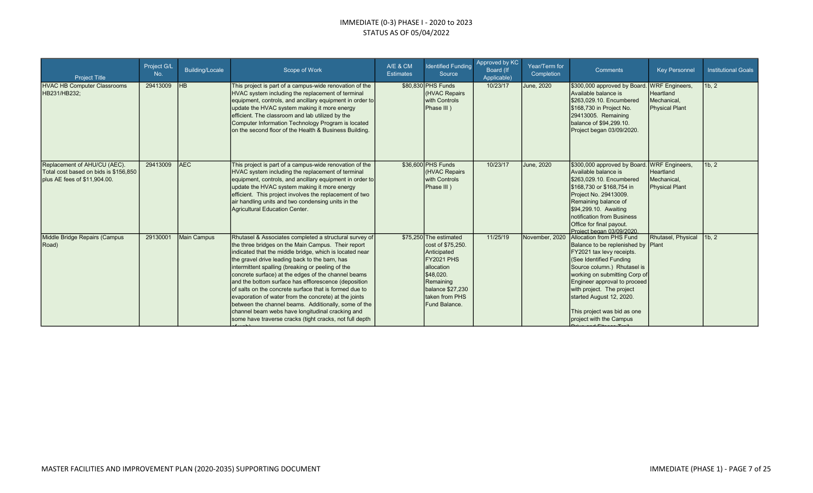| <b>Project Title</b>                                                                                  | Project G/L<br>No. | <b>Building/Locale</b> | Scope of Work                                                                                                                                                                                                                                                                                                                                                                                                                                                                                                                                                                                                                                                                           | A/E & CM<br><b>Estimates</b> | <b>Identified Funding</b><br>Source                                                                                                                                                    | Approved by KC<br>Board (If<br>Applicable) | Year/Term for<br>Completion | <b>Comments</b>                                                                                                                                                                                                                                                                                                                           | <b>Key Personnel</b>                                                       | <b>Institutional Goals</b> |
|-------------------------------------------------------------------------------------------------------|--------------------|------------------------|-----------------------------------------------------------------------------------------------------------------------------------------------------------------------------------------------------------------------------------------------------------------------------------------------------------------------------------------------------------------------------------------------------------------------------------------------------------------------------------------------------------------------------------------------------------------------------------------------------------------------------------------------------------------------------------------|------------------------------|----------------------------------------------------------------------------------------------------------------------------------------------------------------------------------------|--------------------------------------------|-----------------------------|-------------------------------------------------------------------------------------------------------------------------------------------------------------------------------------------------------------------------------------------------------------------------------------------------------------------------------------------|----------------------------------------------------------------------------|----------------------------|
| <b>HVAC HB Computer Classrooms</b><br>HB231/HB232;                                                    | 29413009           | <b>HB</b>              | This project is part of a campus-wide renovation of the<br>HVAC system including the replacement of terminal<br>equipment, controls, and ancillary equipment in order to<br>update the HVAC system making it more energy<br>efficient. The classroom and lab utilized by the<br>Computer Information Technology Program is located<br>on the second floor of the Health & Business Building.                                                                                                                                                                                                                                                                                            |                              | \$80,830 PHS Funds<br><b>HVAC Repairs</b><br>with Controls<br>Phase III)                                                                                                               | 10/23/17                                   | June, 2020                  | \$300,000 approved by Board.<br>Available balance is<br>\$263,029.10. Encumbered<br>\$168,730 in Project No.<br>29413005. Remaining<br>balance of \$94,299.10.<br>Project began 03/09/2020.                                                                                                                                               | <b>WRF</b> Engineers,<br>Heartland<br>Mechanical.<br><b>Physical Plant</b> | 1b, 2                      |
| Replacement of AHU/CU (AEC).<br>Total cost based on bids is \$156,850<br>plus AE fees of \$11,904.00. | 29413009           | <b>AEC</b>             | This project is part of a campus-wide renovation of the<br>HVAC system including the replacement of terminal<br>equipment, controls, and ancillary equipment in order to<br>update the HVAC system making it more energy<br>efficient. This project involves the replacement of two<br>air handling units and two condensing units in the<br>Agricultural Education Center.                                                                                                                                                                                                                                                                                                             |                              | \$36,600 PHS Funds<br>(HVAC Repairs<br>with Controls<br>Phase III)                                                                                                                     | 10/23/17                                   | June, 2020                  | \$300,000 approved by Board.<br>Available balance is<br>\$263.029.10. Encumbered<br>\$168,730 or \$168,754 in<br>Project No. 29413009.<br>Remaining balance of<br>\$94,299.10. Awaiting<br>notification from Business<br>Office for final payout.<br>Project began 03/09/2020                                                             | <b>WRF</b> Engineers,<br>Heartland<br>Mechanical.<br><b>Physical Plant</b> | 1b, 2                      |
| Middle Bridge Repairs (Campus<br>Road)                                                                | 29130001           | Main Campus            | Rhutasel & Associates completed a structural survey of<br>the three bridges on the Main Campus. Their report<br>indicated that the middle bridge, which is located near<br>the gravel drive leading back to the barn, has<br>intermittent spalling (breaking or peeling of the<br>concrete surface) at the edges of the channel beams<br>and the bottom surface has efflorescence (deposition<br>of salts on the concrete surface that is formed due to<br>evaporation of water from the concrete) at the joints<br>between the channel beams. Additionally, some of the<br>channel beam webs have longitudinal cracking and<br>some have traverse cracks (tight cracks, not full depth |                              | \$75,250 The estimated<br>cost of \$75,250.<br>Anticipated<br>FY2021 PHS<br><b>allocation</b><br>\$48,020.<br>Remaining<br>balance \$27,230<br><b>Itaken from PHS</b><br>Fund Balance. | 11/25/19                                   | November, 2020              | Allocation from PHS Fund<br>Balance to be replenished by Plant<br>FY2021 tax levy receipts.<br>(See Identified Funding<br>Source column.) Rhutasel is<br>working on submitting Corp of<br>Engineer approval to proceed<br>with project. The project<br>started August 12, 2020.<br>This project was bid as one<br>project with the Campus | Rhutasel, Physical                                                         | 1b, 2                      |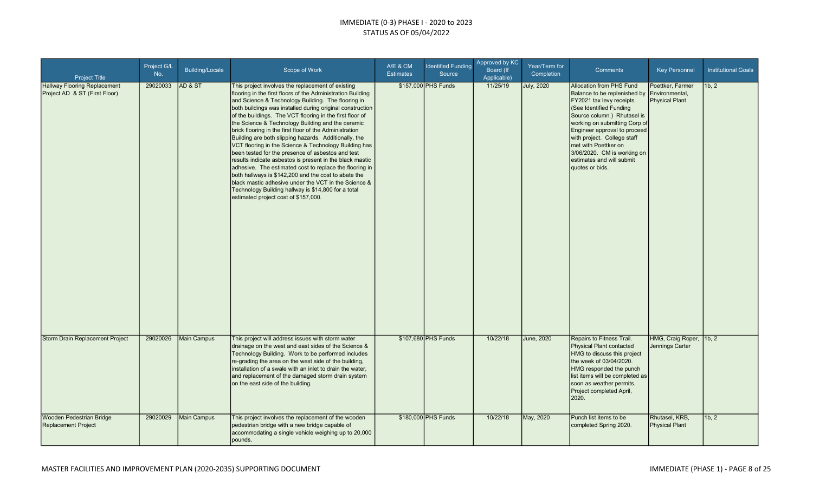| <b>Project Title</b>                                                 | Project G/L<br>No. | <b>Building/Locale</b> | Scope of Work                                                                                                                                                                                                                                                                                                                                                                                                                                                                                                                                                                                                                                                                                                                                                                                                                                                                                                                | A/E & CM<br><b>Estimates</b> | <b>Identified Funding</b><br>Source | Approved by KC<br>Board (If<br>Applicable) | Year/Term for<br>Completion | <b>Comments</b>                                                                                                                                                                                                                                                                                                                                                              | <b>Key Personnel</b>                      | <b>Institutional Goals</b> |
|----------------------------------------------------------------------|--------------------|------------------------|------------------------------------------------------------------------------------------------------------------------------------------------------------------------------------------------------------------------------------------------------------------------------------------------------------------------------------------------------------------------------------------------------------------------------------------------------------------------------------------------------------------------------------------------------------------------------------------------------------------------------------------------------------------------------------------------------------------------------------------------------------------------------------------------------------------------------------------------------------------------------------------------------------------------------|------------------------------|-------------------------------------|--------------------------------------------|-----------------------------|------------------------------------------------------------------------------------------------------------------------------------------------------------------------------------------------------------------------------------------------------------------------------------------------------------------------------------------------------------------------------|-------------------------------------------|----------------------------|
| <b>Hallway Flooring Replacement</b><br>Project AD & ST (First Floor) | 29020033           | <b>AD &amp; ST</b>     | This project involves the replacement of existing<br>flooring in the first floors of the Administration Building<br>and Science & Technology Building. The flooring in<br>both buildings was installed during original construction<br>of the buildings. The VCT flooring in the first floor of<br>the Science & Technology Building and the ceramic<br>brick flooring in the first floor of the Administration<br>Building are both slipping hazards. Additionally, the<br>VCT flooring in the Science & Technology Building has<br>been tested for the presence of asbestos and test<br>results indicate asbestos is present in the black mastic<br>adhesive. The estimated cost to replace the flooring in<br>both hallways is \$142,200 and the cost to abate the<br>black mastic adhesive under the VCT in the Science &<br>Technology Building hallway is \$14,800 for a total<br>estimated project cost of \$157,000. |                              | \$157,000 PHS Funds                 | 11/25/19                                   | <b>July, 2020</b>           | <b>Allocation from PHS Fund</b><br>Balance to be replenished by Environmental,<br>FY2021 tax levy receipts.<br>(See Identified Funding<br>Source column.) Rhutasel is<br>working on submitting Corp of<br>Engineer approval to proceed<br>with project. College staff<br>met with Poettker on<br>3/06/2020. CM is working on<br>estimates and will submit<br>quotes or bids. | Poettker, Farmer<br><b>Physical Plant</b> | 1b.2                       |
| Storm Drain Replacement Project                                      | 29020026           | <b>Main Campus</b>     | This project will address issues with storm water<br>drainage on the west and east sides of the Science &<br>Technology Building. Work to be performed includes<br>re-grading the area on the west side of the building,<br>installation of a swale with an inlet to drain the water,<br>and replacement of the damaged storm drain system<br>on the east side of the building.                                                                                                                                                                                                                                                                                                                                                                                                                                                                                                                                              |                              | \$107,680 PHS Funds                 | 10/22/18                                   | June, 2020                  | Repairs to Fitness Trail.<br>Physical Plant contacted<br>HMG to discuss this project<br>the week of 03/04/2020.<br>HMG responded the punch<br>list items will be completed as<br>soon as weather permits.<br>Project completed April,<br>2020.                                                                                                                               | HMG, Craig Roper,<br>Jennings Carter      | 1b, 2                      |
| Wooden Pedestrian Bridge<br>Replacement Project                      | 29020029           | <b>Main Campus</b>     | This project involves the replacement of the wooden<br>pedestrian bridge with a new bridge capable of<br>accommodating a single vehicle weighing up to 20,000<br>pounds.                                                                                                                                                                                                                                                                                                                                                                                                                                                                                                                                                                                                                                                                                                                                                     |                              | \$180,000 PHS Funds                 | 10/22/18                                   | May, 2020                   | Punch list items to be<br>completed Spring 2020.                                                                                                                                                                                                                                                                                                                             | Rhutasel, KRB,<br>Physical Plant          | 1b, 2                      |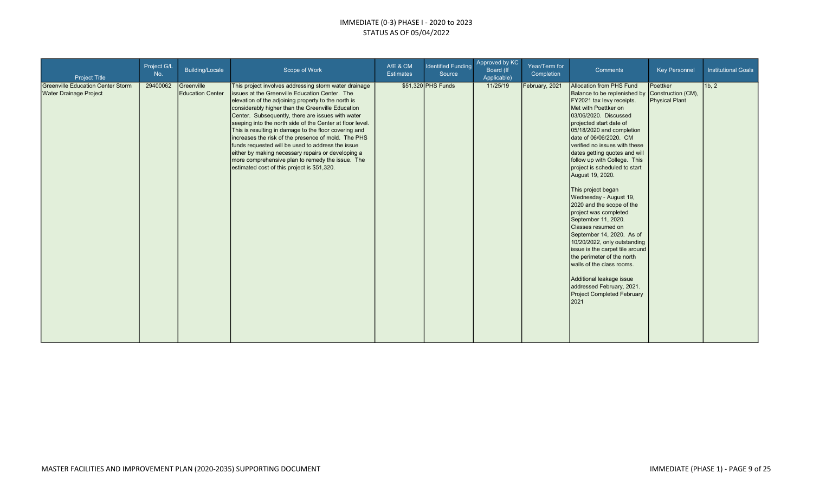| <b>Project Title</b>                                                      | Project G/L<br>No. | Building/Locale                       | Scope of Work                                                                                                                                                                                                                                                                                                                                                                                                                                                                                                                                                                                                                                                       | A/E & CM<br><b>Estimates</b> | <b>Identified Funding</b><br>Source | Approved by KC<br>Board (If<br>Applicable) | Year/Term for<br>Completion | Comments                                                                                                                                                                                                                                                                                                                                                                                                                                                                                                                                                                                                                                                                                                                                                                                            | <b>Key Personnel</b>                                    | <b>Institutional Goals</b> |
|---------------------------------------------------------------------------|--------------------|---------------------------------------|---------------------------------------------------------------------------------------------------------------------------------------------------------------------------------------------------------------------------------------------------------------------------------------------------------------------------------------------------------------------------------------------------------------------------------------------------------------------------------------------------------------------------------------------------------------------------------------------------------------------------------------------------------------------|------------------------------|-------------------------------------|--------------------------------------------|-----------------------------|-----------------------------------------------------------------------------------------------------------------------------------------------------------------------------------------------------------------------------------------------------------------------------------------------------------------------------------------------------------------------------------------------------------------------------------------------------------------------------------------------------------------------------------------------------------------------------------------------------------------------------------------------------------------------------------------------------------------------------------------------------------------------------------------------------|---------------------------------------------------------|----------------------------|
| <b>Greenville Education Center Storm</b><br><b>Water Drainage Project</b> | 29400062           | Greenville<br><b>Education Center</b> | This project involves addressing storm water drainage<br>Issues at the Greenville Education Center. The<br>elevation of the adjoining property to the north is<br>considerably higher than the Greenville Education<br>Center. Subsequently, there are issues with water<br>seeping into the north side of the Center at floor level.<br>This is resulting in damage to the floor covering and<br>increases the risk of the presence of mold. The PHS<br>funds requested will be used to address the issue<br>either by making necessary repairs or developing a<br>more comprehensive plan to remedy the issue. The<br>estimated cost of this project is \$51,320. |                              | \$51,320 PHS Funds                  | 11/25/19                                   | February, 2021              | Allocation from PHS Fund<br>Balance to be replenished by<br>FY2021 tax levy receipts.<br>Met with Poettker on<br>03/06/2020. Discussed<br>projected start date of<br>05/18/2020 and completion<br>date of 06/06/2020. CM<br>verified no issues with these<br>dates getting quotes and will<br>follow up with College. This<br>project is scheduled to start<br>August 19, 2020.<br>This project began<br>Wednesday - August 19,<br>2020 and the scope of the<br>project was completed<br>September 11, 2020.<br>Classes resumed on<br>September 14, 2020. As of<br>10/20/2022, only outstanding<br>issue is the carpet tile around<br>the perimeter of the north<br>walls of the class rooms.<br>Additional leakage issue<br>addressed February, 2021.<br><b>Project Completed February</b><br>2021 | Poettker<br>Construction (CM),<br><b>Physical Plant</b> | 1b, 2                      |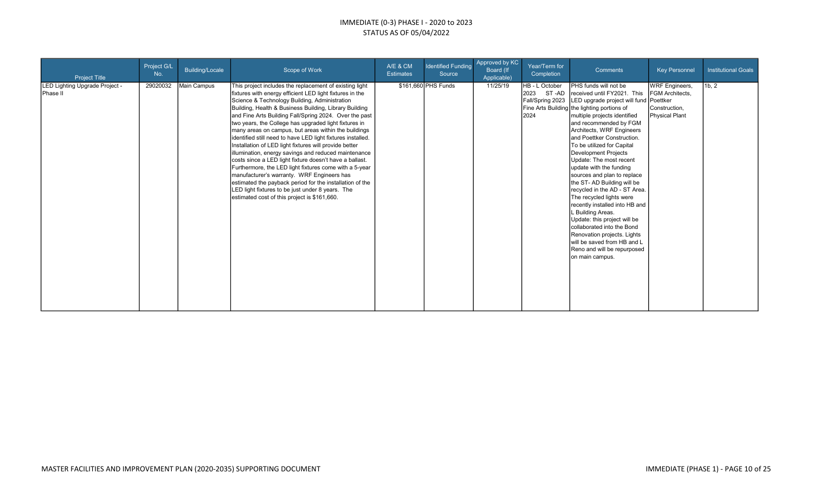| <b>Project Title</b>                       | Project G/L<br>No. | Building/Locale | Scope of Work                                                                                                                                                                                                                                                                                                                                                                                                                                                                                                                                                                                                                                                                                                                                                                                                                                                                                                                 | A/E & CM<br><b>Estimates</b> | <b>Identified Funding</b><br>Source | Approved by KC<br>Board (If<br>Applicable) | Year/Term for<br>Completion                                 | Comments                                                                                                                                                                                                                                                                                                                                                                                                                                                                                                                                                                                                                                                                                                                              | <b>Key Personnel</b>                                                                           | <b>Institutional Goals</b> |
|--------------------------------------------|--------------------|-----------------|-------------------------------------------------------------------------------------------------------------------------------------------------------------------------------------------------------------------------------------------------------------------------------------------------------------------------------------------------------------------------------------------------------------------------------------------------------------------------------------------------------------------------------------------------------------------------------------------------------------------------------------------------------------------------------------------------------------------------------------------------------------------------------------------------------------------------------------------------------------------------------------------------------------------------------|------------------------------|-------------------------------------|--------------------------------------------|-------------------------------------------------------------|---------------------------------------------------------------------------------------------------------------------------------------------------------------------------------------------------------------------------------------------------------------------------------------------------------------------------------------------------------------------------------------------------------------------------------------------------------------------------------------------------------------------------------------------------------------------------------------------------------------------------------------------------------------------------------------------------------------------------------------|------------------------------------------------------------------------------------------------|----------------------------|
| LED Lighting Upgrade Project -<br>Phase II | 29020032           | Main Campus     | This project includes the replacement of existing light<br>fixtures with energy efficient LED light fixtures in the<br>Science & Technology Building, Administration<br>Building, Health & Business Building, Library Building<br>and Fine Arts Building Fall/Spring 2024. Over the past<br>two years, the College has upgraded light fixtures in<br>many areas on campus, but areas within the buildings<br>identified still need to have LED light fixtures installed.<br>Installation of LED light fixtures will provide better<br>illumination, energy savings and reduced maintenance<br>costs since a LED light fixture doesn't have a ballast.<br>Furthermore, the LED light fixtures come with a 5-year<br>manufacturer's warranty. WRF Engineers has<br>estimated the payback period for the installation of the<br>LED light fixtures to be just under 8 years. The<br>estimated cost of this project is \$161,660. |                              | \$161,660 PHS Funds                 | 11/25/19                                   | HB - L October<br>2023<br>ST-AD<br>Fall/Spring 2023<br>2024 | PHS funds will not be<br>received until FY2021. This<br>LED upgrade project will fund<br>Fine Arts Building the lighting portions of<br>multiple projects identified<br>and recommended by FGM<br>Architects, WRF Engineers<br>and Poettker Construction.<br>To be utilized for Capital<br>Development Projects<br>Update: The most recent<br>update with the funding<br>sources and plan to replace<br>the ST- AD Building will be<br>recycled in the AD - ST Area.<br>The recycled lights were<br>recently installed into HB and<br>L Building Areas.<br>Update: this project will be<br>collaborated into the Bond<br>Renovation projects. Lights<br>will be saved from HB and L<br>Reno and will be repurposed<br>on main campus. | <b>WRF</b> Engineers,<br>FGM Architects,<br>Poettker<br>Construction,<br><b>Physical Plant</b> | 1b, 2                      |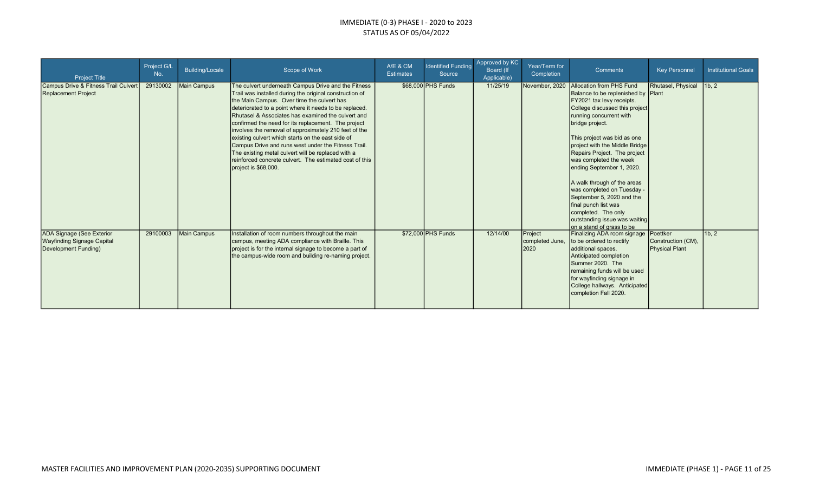| <b>Project Title</b>                                                                          | Project G/L<br>No. | Building/Locale | Scope of Work                                                                                                                                                                                                                                                                                                                                                                                                                                                                                                                                                                                                                                     | A/E & CM<br><b>Estimates</b> | <b>Identified Funding</b><br>Source | Approved by KC<br>Board (If<br>Applicable) | Year/Term for<br>Completion        | <b>Comments</b>                                                                                                                                                                                                                                                                                                                                                                                                                                                                                                                            | <b>Key Personnel</b>                             | <b>Institutional Goals</b>      |
|-----------------------------------------------------------------------------------------------|--------------------|-----------------|---------------------------------------------------------------------------------------------------------------------------------------------------------------------------------------------------------------------------------------------------------------------------------------------------------------------------------------------------------------------------------------------------------------------------------------------------------------------------------------------------------------------------------------------------------------------------------------------------------------------------------------------------|------------------------------|-------------------------------------|--------------------------------------------|------------------------------------|--------------------------------------------------------------------------------------------------------------------------------------------------------------------------------------------------------------------------------------------------------------------------------------------------------------------------------------------------------------------------------------------------------------------------------------------------------------------------------------------------------------------------------------------|--------------------------------------------------|---------------------------------|
| Campus Drive & Fitness Trail Culvert<br><b>Replacement Project</b>                            | 29130002           | Main Campus     | The culvert underneath Campus Drive and the Fitness<br>Trail was installed during the original construction of<br>the Main Campus. Over time the culvert has<br>deteriorated to a point where it needs to be replaced.<br>Rhutasel & Associates has examined the culvert and<br>confirmed the need for its replacement. The project<br>involves the removal of approximately 210 feet of the<br>existing culvert which starts on the east side of<br>Campus Drive and runs west under the Fitness Trail.<br>The existing metal culvert will be replaced with a<br>reinforced concrete culvert. The estimated cost of this<br>project is \$68,000. |                              | \$68,000 PHS Funds                  | 11/25/19                                   | November, 2020                     | Allocation from PHS Fund<br>Balance to be replenished by Plant<br>FY2021 tax levy receipts.<br>College discussed this project<br>running concurrent with<br>bridge project.<br>This project was bid as one<br>project with the Middle Bridge<br>Repairs Project. The project<br>was completed the week<br>ending September 1, 2020.<br>A walk through of the areas<br>was completed on Tuesday -<br>September 5, 2020 and the<br>final punch list was<br>completed. The only<br>outstanding issue was waiting<br>on a stand of grass to be | Rhutasel, Physical                               | 1 <sub>b</sub> , 2 <sub>1</sub> |
| <b>ADA Signage (See Exterior</b><br><b>Wayfinding Signage Capital</b><br>Development Funding) | 29100003           | Main Campus     | Installation of room numbers throughout the main<br>campus, meeting ADA compliance with Braille. This<br>project is for the internal signage to become a part of<br>the campus-wide room and building re-naming project.                                                                                                                                                                                                                                                                                                                                                                                                                          |                              | \$72,000 PHS Funds                  | 12/14/00                                   | Project<br>completed June,<br>2020 | Finalizing ADA room signage<br>to be ordered to rectify<br>additional spaces.<br>Anticipated completion<br>Summer 2020. The<br>remaining funds will be used<br>for wayfinding signage in<br>College hallways. Anticipated<br>completion Fall 2020.                                                                                                                                                                                                                                                                                         | Poettker<br>Construction (CM),<br>Physical Plant | 1b, 2                           |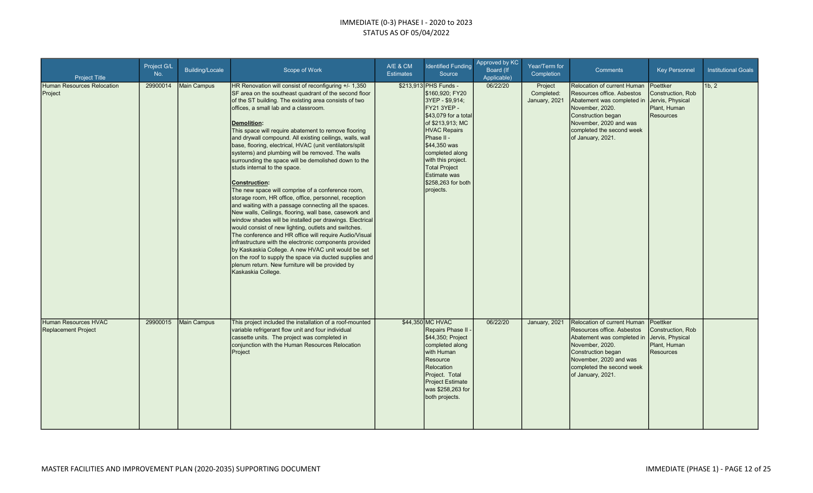| <b>Project Title</b>                               | Project G/L<br>No. | <b>Building/Locale</b> | Scope of Work                                                                                                                                                                                                                                                                                                                                                                                                                                                                                                                                                                                                                                                                                                                                                                                                                                                                                                                                                                                                                                                                                                                                                                                                                                           | A/E & CM<br><b>Estimates</b> | <b>Identified Funding</b><br>Source                                                                                                                                                                                                                                                                    | Approved by KC<br>Board (If<br>Applicable) | Year/Term for<br>Completion            | <b>Comments</b>                                                                                                                                                                                                     | <b>Key Personnel</b>                                                                  | <b>Institutional Goals</b> |
|----------------------------------------------------|--------------------|------------------------|---------------------------------------------------------------------------------------------------------------------------------------------------------------------------------------------------------------------------------------------------------------------------------------------------------------------------------------------------------------------------------------------------------------------------------------------------------------------------------------------------------------------------------------------------------------------------------------------------------------------------------------------------------------------------------------------------------------------------------------------------------------------------------------------------------------------------------------------------------------------------------------------------------------------------------------------------------------------------------------------------------------------------------------------------------------------------------------------------------------------------------------------------------------------------------------------------------------------------------------------------------|------------------------------|--------------------------------------------------------------------------------------------------------------------------------------------------------------------------------------------------------------------------------------------------------------------------------------------------------|--------------------------------------------|----------------------------------------|---------------------------------------------------------------------------------------------------------------------------------------------------------------------------------------------------------------------|---------------------------------------------------------------------------------------|----------------------------|
| Human Resources Relocation<br>Project              | 29900014           | Main Campus            | HR Renovation will consist of reconfiguring +/- 1,350<br>SF area on the southeast quadrant of the second floor<br>of the ST building. The existing area consists of two<br>offices, a small lab and a classroom.<br><b>Demolition:</b><br>This space will require abatement to remove flooring<br>and drywall compound. All existing ceilings, walls, wall<br>base, flooring, electrical, HVAC (unit ventilators/split<br>systems) and plumbing will be removed. The walls<br>surrounding the space will be demolished down to the<br>studs internal to the space.<br>Construction:<br>The new space will comprise of a conference room,<br>storage room, HR office, office, personnel, reception<br>and waiting with a passage connecting all the spaces.<br>New walls, Ceilings, flooring, wall base, casework and<br>window shades will be installed per drawings. Electrical<br>would consist of new lighting, outlets and switches.<br>The conference and HR office will require Audio/Visual<br>infrastructure with the electronic components provided<br>by Kaskaskia College. A new HVAC unit would be set<br>on the roof to supply the space via ducted supplies and<br>plenum return. New furniture will be provided by<br>Kaskaskia College. |                              | \$213,913 PHS Funds -<br>\$160,920; FY20<br>3YEP - \$9,914;<br><b>FY21 3YEP -</b><br>\$43,079 for a total<br>of \$213,913; MC<br>HVAC Repairs<br>Phase II -<br>\$44,350 was<br>completed along<br>with this project.<br><b>Total Project</b><br><b>Estimate was</b><br>\$258,263 for both<br>projects. | 06/22/20                                   | Project<br>Completed:<br>January, 2021 | <b>Relocation of current Human</b><br>Resources office. Asbestos<br>Abatement was completed in<br>November, 2020.<br>Construction began<br>November, 2020 and was<br>completed the second week<br>of January, 2021. | Poettker<br>Construction, Rob<br>Jervis, Physical<br>Plant, Human<br><b>Resources</b> | 1b, 2                      |
| Human Resources HVAC<br><b>Replacement Project</b> | 29900015           | <b>Main Campus</b>     | This project included the installation of a roof-mounted<br>variable refrigerant flow unit and four individual<br>cassette units. The project was completed in<br>conjunction with the Human Resources Relocation<br>Project                                                                                                                                                                                                                                                                                                                                                                                                                                                                                                                                                                                                                                                                                                                                                                                                                                                                                                                                                                                                                            |                              | \$44,350 MC HVAC<br>Repairs Phase II -<br>\$44,350; Project<br>completed along<br>with Human<br>Resource<br>Relocation<br>Project. Total<br>Project Estimate<br>was \$258,263 for<br>both projects.                                                                                                    | 06/22/20                                   | January, 2021                          | Relocation of current Human<br>Resources office. Asbestos<br>Abatement was completed in<br>November, 2020.<br>Construction began<br>November, 2020 and was<br>completed the second week<br>of January, 2021.        | Poettker<br>Construction, Rob<br>Jervis, Physical<br>Plant, Human<br><b>Resources</b> |                            |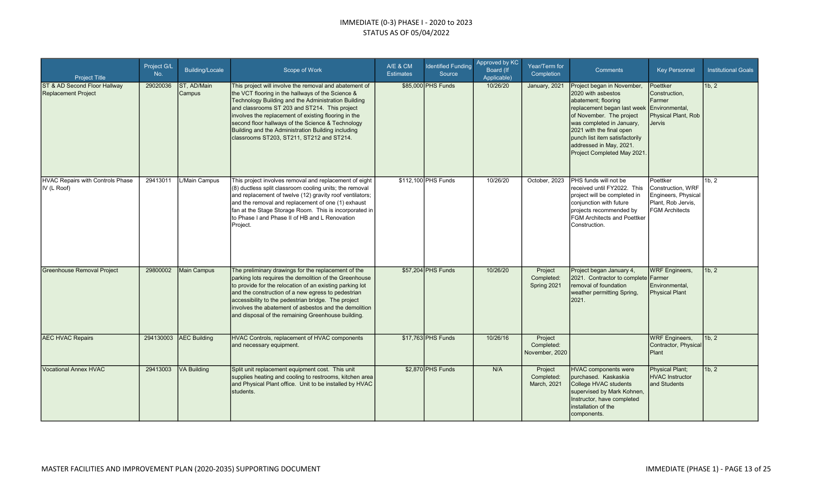| <b>Project Title</b>                                       | Project G/L<br>No. | <b>Building/Locale</b> | Scope of Work                                                                                                                                                                                                                                                                                                                                                                                                                       | A/E & CM<br><b>Estimates</b> | <b>Identified Funding</b><br>Source | Approved by KC<br>Board (If<br>Applicable) | Year/Term for<br>Completion             | <b>Comments</b>                                                                                                                                                                                                                                                                        | <b>Key Personnel</b>                                                                                | <b>Institutional Goals</b> |
|------------------------------------------------------------|--------------------|------------------------|-------------------------------------------------------------------------------------------------------------------------------------------------------------------------------------------------------------------------------------------------------------------------------------------------------------------------------------------------------------------------------------------------------------------------------------|------------------------------|-------------------------------------|--------------------------------------------|-----------------------------------------|----------------------------------------------------------------------------------------------------------------------------------------------------------------------------------------------------------------------------------------------------------------------------------------|-----------------------------------------------------------------------------------------------------|----------------------------|
| ST & AD Second Floor Hallway<br><b>Replacement Project</b> | 29020036           | ST, AD/Main<br>Campus  | This project will involve the removal and abatement of<br>the VCT flooring in the hallways of the Science &<br>Technology Building and the Administration Building<br>and classrooms ST 203 and ST214. This project<br>involves the replacement of existing flooring in the<br>second floor hallways of the Science & Technology<br>Building and the Administration Building including<br>classrooms ST203, ST211, ST212 and ST214. |                              | \$85,000 PHS Funds                  | 10/26/20                                   | January, 2021                           | Project began in November,<br>2020 with asbestos<br>abatement; flooring<br>replacement began last week<br>of November. The project<br>was completed in January,<br>2021 with the final open<br>punch list item satisfactorily<br>addressed in May, 2021.<br>Project Completed May 2021 | Poettker<br>Construction.<br>Farmer<br>Environmental,<br>Physical Plant, Rob<br><b>Jervis</b>       | 1b, 2                      |
| <b>HVAC Repairs with Controls Phase</b><br>IV (L Roof)     | 29413011           | L/Main Campus          | This project involves removal and replacement of eight<br>$(8)$ ductless split classroom cooling units; the removal<br>and replacement of twelve (12) gravity roof ventilators;<br>and the removal and replacement of one (1) exhaust<br>fan at the Stage Storage Room. This is incorporated in<br>to Phase I and Phase II of HB and L Renovation<br>Project.                                                                       |                              | \$112,100 PHS Funds                 | 10/26/20                                   | October, 2023                           | PHS funds will not be<br>received until FY2022. This<br>project will be completed in<br>conjunction with future<br>projects recommended by<br><b>FGM Architects and Poettker</b><br>Construction.                                                                                      | Poettker<br>Construction, WRF<br>Engineers, Physical<br>Plant, Rob Jervis,<br><b>FGM Architects</b> | 1b, 2                      |
| <b>Greenhouse Removal Project</b>                          | 29800002           | Main Campus            | The preliminary drawings for the replacement of the<br>parking lots requires the demolition of the Greenhouse<br>to provide for the relocation of an existing parking lot<br>and the construction of a new egress to pedestrian<br>accessibility to the pedestrian bridge. The project<br>involves the abatement of asbestos and the demolition<br>and disposal of the remaining Greenhouse building.                               |                              | \$57,204 PHS Funds                  | 10/26/20                                   | Project<br>Completed:<br>Spring 2021    | Project began January 4,<br>2021. Contractor to complete Farmer<br>removal of foundation<br>weather permitting Spring,<br>2021.                                                                                                                                                        | <b>WRF</b> Engineers,<br>Environmental,<br><b>Physical Plant</b>                                    | 1b, 2                      |
| <b>AEC HVAC Repairs</b>                                    |                    | 294130003 AEC Building | HVAC Controls, replacement of HVAC components<br>and necessary equipment.                                                                                                                                                                                                                                                                                                                                                           |                              | \$17,763 PHS Funds                  | 10/26/16                                   | Project<br>Completed:<br>November, 2020 |                                                                                                                                                                                                                                                                                        | <b>WRF</b> Engineers,<br>Contractor, Physical<br><b>Plant</b>                                       | 11b.2                      |
| <b>Vocational Annex HVAC</b>                               | 29413003           | <b>VA Building</b>     | Split unit replacement equipment cost. This unit<br>supplies heating and cooling to restrooms, kitchen area<br>and Physical Plant office. Unit to be installed by HVAC<br>Istudents.                                                                                                                                                                                                                                                |                              | \$2.870 PHS Funds                   | N/A                                        | Project<br>Completed:<br>March, 2021    | <b>HVAC components were</b><br>purchased. Kaskaskia<br>College HVAC students<br>supervised by Mark Kohnen,<br>Instructor, have completed<br>installation of the<br>components.                                                                                                         | Physical Plant;<br><b>HVAC</b> Instructor<br>and Students                                           | 1b, 2                      |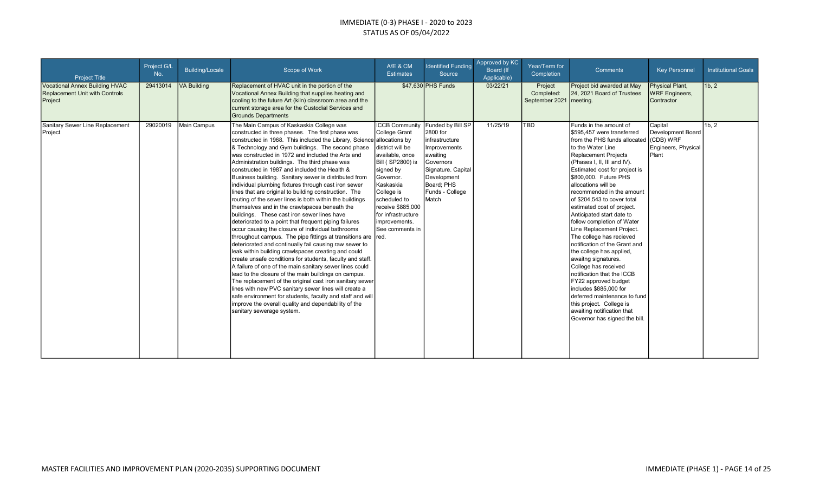| <b>Project Title</b>                                                                      | Project G/L<br>No. | <b>Building/Locale</b> | Scope of Work                                                                                                                                                                                                                                                                                                                                                                                                                                                                                                                                                                                                                                                                                                                                                                                                                                                                                                                                                                                                                                                                                                                                                                                                                                                                                                                                                                                                                                                                | A/E & CM<br><b>Estimates</b>                                                                                                                                                                                                                                                          | <b>Identified Funding</b><br>Source                                                                                                                | Approved by KC<br>Board (If<br>Applicable) | Year/Term for<br>Completion             | <b>Comments</b>                                                                                                                                                                                                                                                                                                                                                                                                                                                                                                                                                                                                                                                                                                                                                                          | <b>Key Personnel</b>                                                      | <b>Institutional Goals</b> |
|-------------------------------------------------------------------------------------------|--------------------|------------------------|------------------------------------------------------------------------------------------------------------------------------------------------------------------------------------------------------------------------------------------------------------------------------------------------------------------------------------------------------------------------------------------------------------------------------------------------------------------------------------------------------------------------------------------------------------------------------------------------------------------------------------------------------------------------------------------------------------------------------------------------------------------------------------------------------------------------------------------------------------------------------------------------------------------------------------------------------------------------------------------------------------------------------------------------------------------------------------------------------------------------------------------------------------------------------------------------------------------------------------------------------------------------------------------------------------------------------------------------------------------------------------------------------------------------------------------------------------------------------|---------------------------------------------------------------------------------------------------------------------------------------------------------------------------------------------------------------------------------------------------------------------------------------|----------------------------------------------------------------------------------------------------------------------------------------------------|--------------------------------------------|-----------------------------------------|------------------------------------------------------------------------------------------------------------------------------------------------------------------------------------------------------------------------------------------------------------------------------------------------------------------------------------------------------------------------------------------------------------------------------------------------------------------------------------------------------------------------------------------------------------------------------------------------------------------------------------------------------------------------------------------------------------------------------------------------------------------------------------------|---------------------------------------------------------------------------|----------------------------|
| <b>Vocational Annex Building HVAC</b><br><b>Replacement Unit with Controls</b><br>Project | 29413014           | <b>VA Building</b>     | Replacement of HVAC unit in the portion of the<br>Vocational Annex Building that supplies heating and<br>cooling to the future Art (kiln) classroom area and the<br>current storage area for the Custodial Services and<br><b>Grounds Departments</b>                                                                                                                                                                                                                                                                                                                                                                                                                                                                                                                                                                                                                                                                                                                                                                                                                                                                                                                                                                                                                                                                                                                                                                                                                        |                                                                                                                                                                                                                                                                                       | \$47,630 PHS Funds                                                                                                                                 | 03/22/21                                   | Project<br>Completed:<br>September 2021 | Project bid awarded at May<br>24, 2021 Board of Trustees<br>meeting.                                                                                                                                                                                                                                                                                                                                                                                                                                                                                                                                                                                                                                                                                                                     | Physical Plant,<br><b>WRF Engineers,</b><br>Contractor                    | 1b, 2                      |
| Sanitary Sewer Line Replacement<br>Project                                                | 29020019           | <b>Main Campus</b>     | The Main Campus of Kaskaskia College was<br>constructed in three phases. The first phase was<br>constructed in 1968. This included the Library, Science allocations by<br>& Technology and Gym buildings. The second phase<br>was constructed in 1972 and included the Arts and<br>Administration buildings. The third phase was<br>constructed in 1987 and included the Health &<br>Business building. Sanitary sewer is distributed from<br>individual plumbing fixtures through cast iron sewer<br>lines that are original to building construction. The<br>routing of the sewer lines is both within the buildings<br>themselves and in the crawlspaces beneath the<br>buildings. These cast iron sewer lines have<br>deteriorated to a point that frequent piping failures<br>occur causing the closure of individual bathrooms<br>throughout campus. The pipe fittings at transitions are red.<br>deteriorated and continually fail causing raw sewer to<br>leak within building crawlspaces creating and could<br>create unsafe conditions for students, faculty and staff.<br>A failure of one of the main sanitary sewer lines could<br>lead to the closure of the main buildings on campus.<br>The replacement of the original cast iron sanitary sewer<br>lines with new PVC sanitary sewer lines will create a<br>safe environment for students, faculty and staff and will<br>improve the overall quality and dependability of the<br>sanitary sewerage system. | <b>ICCB Community Funded by Bill SP</b><br>College Grant<br>district will be<br>available, once<br><b>Bill (SP2800)</b> is<br>signed by<br>Governor.<br>Kaskaskia<br>College is<br>scheduled to<br>receive \$885,000<br>for infrastructure<br>improvements.<br><b>See comments in</b> | 2800 for<br>infrastructure<br>Improvements<br>awaiting<br>Governors<br>Signature. Capital<br>Development<br>Board: PHS<br>Funds - College<br>Match | 11/25/19                                   | <b>TBD</b>                              | Funds in the amount of<br>\$595.457 were transferred<br>from the PHS funds allocated<br>to the Water Line<br>Replacement Projects<br>(Phases I, II, III and IV).<br>Estimated cost for project is<br>\$800,000. Future PHS<br>allocations will be<br>recommended in the amount<br>of \$204,543 to cover total<br>estimated cost of project.<br>Anticipated start date to<br>follow completion of Water<br>Line Replacement Project.<br>The college has recieved<br>Inotification of the Grant and<br>the college has applied,<br>awaitng signatures.<br>College has received<br>Inotification that the ICCB<br>FY22 approved budget<br>includes \$885,000 for<br>deferred maintenance to fund<br>this project. College is<br>awaiting notification that<br>Governor has signed the bill. | Capital<br>Development Board<br>(CDB) WRF<br>Engineers, Physical<br>Plant | 1 <sub>b.2</sub>           |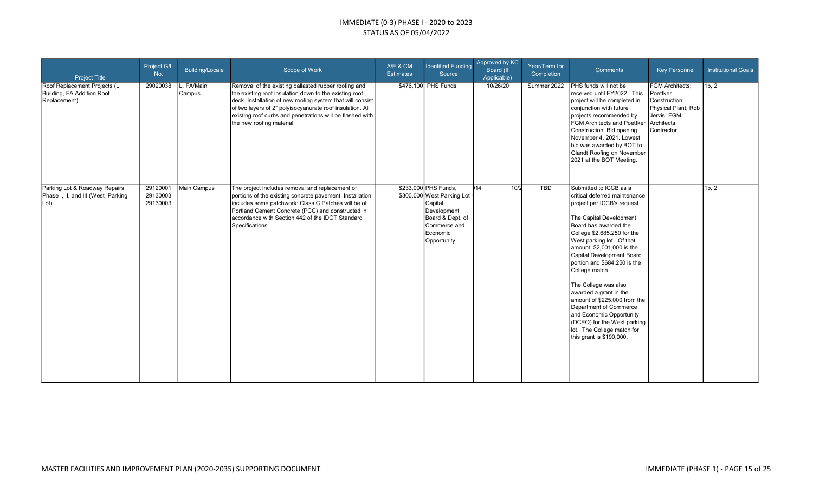| <b>Project Title</b>                                                        | Project G/L<br>No.               | Building/Locale             | Scope of Work                                                                                                                                                                                                                                                                                                                       | A/E & CM<br><b>Estimates</b> | <b>Identified Funding</b><br>Source                                                                                                                | Approved by KC<br>Board (If<br>Applicable) | Year/Term for<br>Completion | Comments                                                                                                                                                                                                                                                                                                                                                                                                                                                                                                                                             | <b>Key Personnel</b>                                                                                                   | <b>Institutional Goals</b> |
|-----------------------------------------------------------------------------|----------------------------------|-----------------------------|-------------------------------------------------------------------------------------------------------------------------------------------------------------------------------------------------------------------------------------------------------------------------------------------------------------------------------------|------------------------------|----------------------------------------------------------------------------------------------------------------------------------------------------|--------------------------------------------|-----------------------------|------------------------------------------------------------------------------------------------------------------------------------------------------------------------------------------------------------------------------------------------------------------------------------------------------------------------------------------------------------------------------------------------------------------------------------------------------------------------------------------------------------------------------------------------------|------------------------------------------------------------------------------------------------------------------------|----------------------------|
| Roof Replacement Projects (L<br>Building, FA Addition Roof<br>Replacement)  | 29020038                         | L, FA/Main<br><b>Campus</b> | Removal of the existing ballasted rubber roofing and<br>the existing roof insulation down to the existing roof<br>deck. Installation of new roofing system that will consist<br>of two layers of 2" polyisocyanurate roof insulation. All<br>existing roof curbs and penetrations will be flashed with<br>the new roofing material. |                              | \$476,100 PHS Funds                                                                                                                                | 10/26/20                                   | Summer 2022                 | PHS funds will not be<br>received until FY2022. This<br>project will be completed in<br>conjunction with future<br>projects recommended by<br>FGM Architects and Poettker<br>Construction. Bid opening<br>November 4, 2021. Lowest<br>bid was awarded by BOT to<br>Glandt Roofing on November<br>2021 at the BOT Meeting.                                                                                                                                                                                                                            | <b>FGM Architects:</b><br>Poettker<br>Construction;<br>Physical Plant; Rob<br>Jervis; FGM<br>Architects,<br>Contractor | 1b, 2                      |
| Parking Lot & Roadway Repairs<br>Phase I, II, and III (West Parking<br>Lot) | 29120001<br>29130003<br>29130003 | Main Campus                 | The project includes removal and replacement of<br>portions of the existing concrete pavement. Installation<br>includes some patchwork: Class C Patches will be of<br>Portland Cement Concrete (PCC) and constructed in<br>accordance with Section 442 of the IDOT Standard<br>Specifications.                                      |                              | \$233,000 PHS Funds,<br>\$300,000 West Parking Lot<br>Capital<br>Development<br>Board & Dept. of<br><b>Commerce</b> and<br>Economic<br>Opportunity | )14<br>10/2                                | <b>TBD</b>                  | Submitted to ICCB as a<br>critical deferred maintenance<br>project per ICCB's request.<br>The Capital Development<br>Board has awarded the<br>College \$2,685,250 for the<br>West parking lot. Of that<br>amount, \$2,001,000 is the<br>Capital Development Board<br>portion and \$684,250 is the<br>College match.<br>The College was also<br>awarded a grant in the<br>amount of \$225,000 from the<br>Department of Commerce<br>and Economic Opportunity<br>(DCEO) for the West parking<br>lot. The College match for<br>this grant is \$190,000. |                                                                                                                        | 1b, 2                      |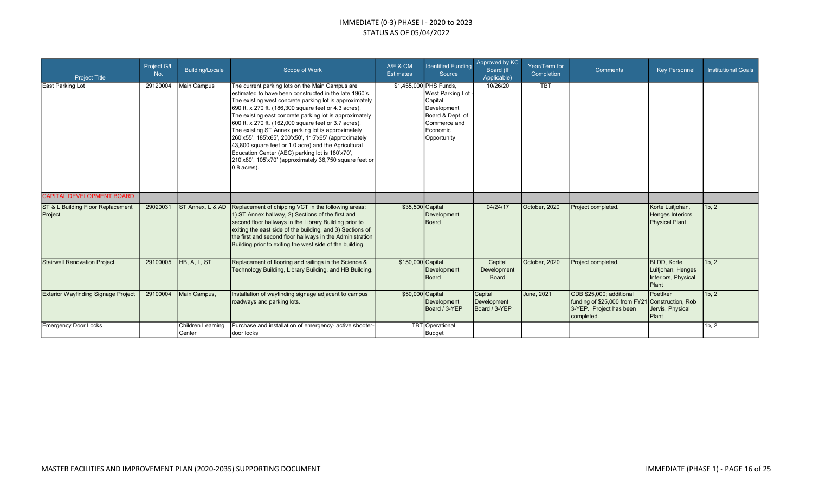| <b>Project Title</b>                         | Project G/L<br>No. | <b>Building/Locale</b>      | Scope of Work                                                                                                                                                                                                                                                                                                                                                                                                                                                                                                                                                                                                                                                      | A/E & CM<br><b>Estimates</b> | <b>Identified Funding</b><br>Source                                                                                                                 | Approved by KC<br>Board (If<br>Applicable) | Year/Term for<br>Completion | <b>Comments</b>                                                                                                      | <b>Key Personnel</b>                                                            | <b>Institutional Goals</b> |
|----------------------------------------------|--------------------|-----------------------------|--------------------------------------------------------------------------------------------------------------------------------------------------------------------------------------------------------------------------------------------------------------------------------------------------------------------------------------------------------------------------------------------------------------------------------------------------------------------------------------------------------------------------------------------------------------------------------------------------------------------------------------------------------------------|------------------------------|-----------------------------------------------------------------------------------------------------------------------------------------------------|--------------------------------------------|-----------------------------|----------------------------------------------------------------------------------------------------------------------|---------------------------------------------------------------------------------|----------------------------|
| East Parking Lot                             | 29120004           | Main Campus                 | The current parking lots on the Main Campus are<br>lestimated to have been constructed in the late 1960's.<br>The existing west concrete parking lot is approximately<br>690 ft. x 270 ft. (186,300 square feet or 4.3 acres).<br>The existing east concrete parking lot is approximately<br>600 ft. x 270 ft. (162,000 square feet or 3.7 acres).<br>The existing ST Annex parking lot is approximately<br>260'x55', 185'x65', 200'x50', 115'x65' (approximately<br>43,800 square feet or 1.0 acre) and the Agricultural<br>Education Center (AEC) parking lot is 180'x70',<br>210'x80', 105'x70' (approximately 36,750 square feet or<br>$ 0.8 \text{ acres} $ . |                              | \$1,455,000 PHS Funds,<br>West Parking Lot<br>Capital<br>Development<br>Board & Dept. of<br><b>I</b> Commerce and<br><b>Economic</b><br>Opportunity | 10/26/20                                   | <b>TBT</b>                  |                                                                                                                      |                                                                                 |                            |
| <b>CAPITAL DEVELOPMENT BOARD</b>             |                    |                             |                                                                                                                                                                                                                                                                                                                                                                                                                                                                                                                                                                                                                                                                    |                              |                                                                                                                                                     |                                            |                             |                                                                                                                      |                                                                                 |                            |
| ST & L Building Floor Replacement<br>Project | 29020031           | ST Annex, L & AD            | Replacement of chipping VCT in the following areas:<br>1) ST Annex hallway, 2) Sections of the first and<br>second floor hallways in the Library Building prior to<br>exiting the east side of the building, and 3) Sections of<br>the first and second floor hallways in the Administration<br>Building prior to exiting the west side of the building.                                                                                                                                                                                                                                                                                                           | \$35,500 Capital             | Development<br>Board                                                                                                                                | 04/24/17                                   | October, 2020               | Project completed.                                                                                                   | Korte Luitjohan,<br>Henges Interiors,<br>Physical Plant                         | 1b, 2                      |
| <b>Stairwell Renovation Project</b>          | 29100005           | HB, A, L, ST                | Replacement of flooring and railings in the Science &<br>Technology Building, Library Building, and HB Building.                                                                                                                                                                                                                                                                                                                                                                                                                                                                                                                                                   | \$150,000 Capital            | Development<br>Board                                                                                                                                | Capital<br>Development<br>Board            | October, 2020               | Project completed.                                                                                                   | <b>BLDD.</b> Korte<br>Luitjohan, Henges<br>Interiors, Physical<br><b>IPlant</b> | 11b.2                      |
| <b>Exterior Wayfinding Signage Project</b>   | 29100004           | Main Campus,                | Installation of wayfinding signage adjacent to campus<br>roadways and parking lots.                                                                                                                                                                                                                                                                                                                                                                                                                                                                                                                                                                                | \$50,000 Capital             | Development<br>Board / 3-YEP                                                                                                                        | Capital<br>Development<br>Board / 3-YEP    | June, 2021                  | CDB \$25,000; additional<br>funding of \$25,000 from FY21 Construction, Rob<br>3-YEP. Project has been<br>completed. | Poettker<br>Jervis, Physical<br><b>I</b> Plant                                  | 11b.2                      |
| <b>Emergency Door Locks</b>                  |                    | Children Learning<br>Center | Purchase and installation of emergency- active shooter-<br>Idoor locks                                                                                                                                                                                                                                                                                                                                                                                                                                                                                                                                                                                             |                              | TBT Operational<br>Budget                                                                                                                           |                                            |                             |                                                                                                                      |                                                                                 | 1b, 2                      |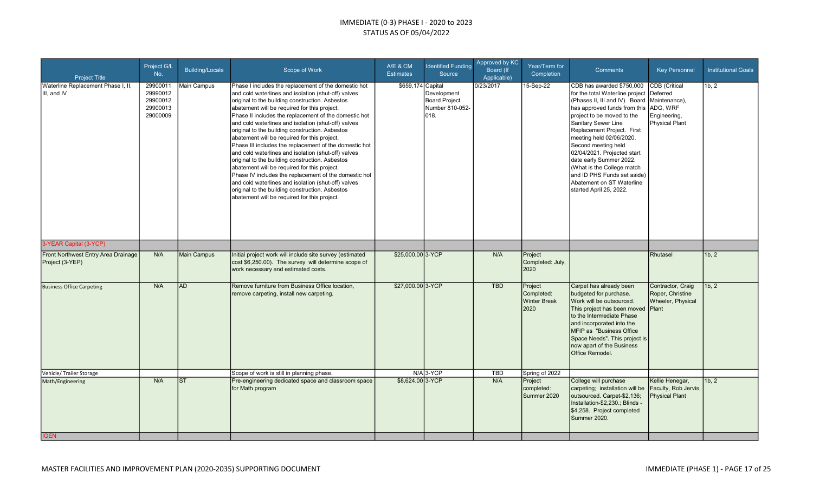| <b>Project Title</b>                                   | Project G/L<br>No.                                       | <b>Building/Locale</b> | Scope of Work                                                                                                                                                                                                                                                                                                                                                                                                                                                                                                                                                                                                                                                                                                                                                                                                                                                            | A/E & CM<br><b>Estimates</b> | <b>Identified Funding</b><br>Source                     | Approved by KC<br><b>Board (If</b><br>Applicable) | Year/Term for<br>Completion                          | <b>Comments</b>                                                                                                                                                                                                                                                                                                                                                                                                                                     | <b>Key Personnel</b>                                                                     | <b>Institutional Goals</b> |
|--------------------------------------------------------|----------------------------------------------------------|------------------------|--------------------------------------------------------------------------------------------------------------------------------------------------------------------------------------------------------------------------------------------------------------------------------------------------------------------------------------------------------------------------------------------------------------------------------------------------------------------------------------------------------------------------------------------------------------------------------------------------------------------------------------------------------------------------------------------------------------------------------------------------------------------------------------------------------------------------------------------------------------------------|------------------------------|---------------------------------------------------------|---------------------------------------------------|------------------------------------------------------|-----------------------------------------------------------------------------------------------------------------------------------------------------------------------------------------------------------------------------------------------------------------------------------------------------------------------------------------------------------------------------------------------------------------------------------------------------|------------------------------------------------------------------------------------------|----------------------------|
| Waterline Replacement Phase I, II,<br>III. and IV      | 29900011<br>29990012<br>29900012<br>29900013<br>29000009 | Main Campus            | Phase I includes the replacement of the domestic hot<br>and cold waterlines and isolation (shut-off) valves<br>original to the building construction. Asbestos<br>abatement will be required for this project.<br>Phase II includes the replacement of the domestic hot<br>and cold waterlines and isolation (shut-off) valves<br>original to the building construction. Asbestos<br>abatement will be required for this project.<br>Phase III includes the replacement of the domestic hot<br>and cold waterlines and isolation (shut-off) valves<br>original to the building construction. Asbestos<br>abatement will be required for this project.<br>Phase IV includes the replacement of the domestic hot<br>and cold waterlines and isolation (shut-off) valves<br>original to the building construction. Asbestos<br>abatement will be required for this project. | \$659,174 Capital            | Development<br>Board Project<br>Number 810-052-<br>018. | 0/23/2017                                         | 15-Sep-22                                            | CDB has awarded \$750,000<br>for the total Waterline project<br>(Phases II, III and IV). Board<br>has approved funds from this<br>project to be moved to the<br>Sanitary Sewer Line<br>Replacement Project. First<br>meeting held 02/06/2020.<br>Second meeting held<br>02/04/2021. Projected start<br>date early Summer 2022.<br>(What is the College match<br>and ID PHS Funds set aside)<br>Abatement on ST Waterline<br>started April 25, 2022. | CDB (Critical<br>Deferred<br>Maintenance),<br>ADG, WRF<br>Engineering,<br>Physical Plant | 1b, 2                      |
| 3-YEAR Capital (3-YCP)                                 |                                                          |                        |                                                                                                                                                                                                                                                                                                                                                                                                                                                                                                                                                                                                                                                                                                                                                                                                                                                                          |                              |                                                         |                                                   |                                                      |                                                                                                                                                                                                                                                                                                                                                                                                                                                     |                                                                                          |                            |
| Front Northwest Entry Area Drainage<br>Project (3-YEP) | N/A                                                      | <b>Main Campus</b>     | Initial project work will include site survey (estimated<br>cost \$6,250.00). The survey will determine scope of<br>work necessary and estimated costs.                                                                                                                                                                                                                                                                                                                                                                                                                                                                                                                                                                                                                                                                                                                  | \$25,000,00 3- YCP           |                                                         | N/A                                               | Project<br>Completed: July,<br>2020                  |                                                                                                                                                                                                                                                                                                                                                                                                                                                     | Rhutasel                                                                                 | 1b.2                       |
| <b>Business Office Carpeting</b>                       | N/A                                                      | <b>AD</b>              | Remove furniture from Business Office location,<br>remove carpeting, install new carpeting.                                                                                                                                                                                                                                                                                                                                                                                                                                                                                                                                                                                                                                                                                                                                                                              | \$27,000.00 3-YCP            |                                                         | <b>TBD</b>                                        | Project<br>Completed:<br><b>Winter Break</b><br>2020 | Carpet has already been<br>budgeted for purchase.<br>Work will be outsourced.<br>This project has been moved Plant<br>to the Intermediate Phase<br>and incorporated into the<br><b>MFIP as "Business Office</b><br>Space Needs". This project is<br>now apart of the Business<br>Office Remodel.                                                                                                                                                    | Contractor, Craig<br>Roper, Christine<br>Wheeler, Physical                               | 1b.2                       |
| Vehicle/ Trailer Storage                               |                                                          |                        | Scope of work is still in planning phase.                                                                                                                                                                                                                                                                                                                                                                                                                                                                                                                                                                                                                                                                                                                                                                                                                                |                              | $N/A$ 3-YCP                                             | <b>TBD</b>                                        | Spring of 2022                                       |                                                                                                                                                                                                                                                                                                                                                                                                                                                     |                                                                                          |                            |
| Math/Engineering                                       | N/A                                                      | <b>ST</b>              | Pre-engineering dedicated space and classroom space<br>for Math program                                                                                                                                                                                                                                                                                                                                                                                                                                                                                                                                                                                                                                                                                                                                                                                                  | \$8,624.00 3-YCP             |                                                         | N/A                                               | Project<br>completed:<br>Summer 2020                 | College will purchase<br>carpeting; installation will be<br>outsourced. Carpet-\$2,136;<br>Installation-\$2,230.; Blinds -<br>\$4,258. Project completed<br>Summer 2020.                                                                                                                                                                                                                                                                            | Kellie Henegar,<br>Faculty, Rob Jervis,<br><b>Physical Plant</b>                         | 1b.2                       |
| <b>IGEN</b>                                            |                                                          |                        |                                                                                                                                                                                                                                                                                                                                                                                                                                                                                                                                                                                                                                                                                                                                                                                                                                                                          |                              |                                                         |                                                   |                                                      |                                                                                                                                                                                                                                                                                                                                                                                                                                                     |                                                                                          |                            |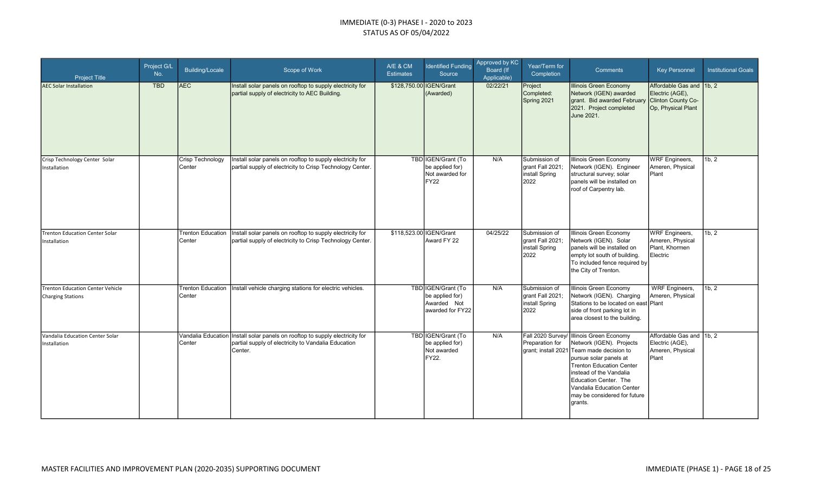| <b>Project Title</b>                                         | Project G/L<br>No. | <b>Building/Locale</b>      | Scope of Work                                                                                                                                  | A/E & CM<br><b>Estimates</b> | <b>Identified Funding</b><br>Source                                       | Approved by KC<br>Board (If<br>Applicable) | Year/Term for<br>Completion                                 | <b>Comments</b>                                                                                                                                                                                                                                                                                            | <b>Key Personnel</b>                                                                    | <b>Institutional Goals</b> |
|--------------------------------------------------------------|--------------------|-----------------------------|------------------------------------------------------------------------------------------------------------------------------------------------|------------------------------|---------------------------------------------------------------------------|--------------------------------------------|-------------------------------------------------------------|------------------------------------------------------------------------------------------------------------------------------------------------------------------------------------------------------------------------------------------------------------------------------------------------------------|-----------------------------------------------------------------------------------------|----------------------------|
| <b>AEC Solar Installation</b>                                | <b>TBD</b>         | <b>AEC</b>                  | Install solar panels on rooftop to supply electricity for<br>partial supply of electricity to AEC Building.                                    | \$128,750.00 IGEN/Grant      | (Awarded)                                                                 | 02/22/21                                   | Project<br>Completed:<br>Spring 2021                        | <b>Illinois Green Economy</b><br>Network (IGEN) awarded<br>grant. Bid awarded February<br>2021. Project completed<br>June 2021.                                                                                                                                                                            | Affordable Gas and 1b, 2<br>Electric (AGE),<br>Clinton County Co-<br>Op, Physical Plant |                            |
| Crisp Technology Center Solar<br>Installation                |                    | Crisp Technology<br>Center  | Install solar panels on rooftop to supply electricity for<br>partial supply of electricity to Crisp Technology Center.                         |                              | TBD IGEN/Grant (To<br>be applied for)<br>Not awarded for<br>FY22          | N/A                                        | Submission of<br>grant Fall 2021;<br>install Spring<br>2022 | Illinois Green Economy<br>Network (IGEN). Engineer<br>structural survey; solar<br>panels will be installed on<br>roof of Carpentry lab.                                                                                                                                                                    | <b>WRF</b> Engineers,<br>Ameren, Physical<br>Plant                                      | 1b, 2                      |
| <b>Trenton Education Center Solar</b><br>Installation        |                    | Trenton Education<br>Center | Install solar panels on rooftop to supply electricity for<br>partial supply of electricity to Crisp Technology Center.                         | \$118,523.00 IGEN/Grant      | Award FY 22                                                               | 04/25/22                                   | Submission of<br>grant Fall 2021;<br>install Spring<br>2022 | Illinois Green Economy<br>Network (IGEN). Solar<br>panels will be installed on<br>empty lot south of building.<br>To included fence required by<br>the City of Trenton.                                                                                                                                    | <b>WRF</b> Engineers,<br>Ameren, Physical<br>Plant, Khormen<br>Electric                 | 1b, 2                      |
| Trenton Education Center Vehicle<br><b>Charging Stations</b> |                    | Center                      | Trenton Education   Install vehicle charging stations for electric vehicles.                                                                   |                              | TBD IGEN/Grant (To<br>be applied for)<br>Awarded Not<br>lawarded for FY22 | N/A                                        | Submission of<br>grant Fall 2021;<br>install Spring<br>2022 | Illinois Green Economy<br>Network (IGEN). Charging<br>Stations to be located on east Plant<br>side of front parking lot in<br>area closest to the building.                                                                                                                                                | <b>WRF</b> Engineers,<br>Ameren, Physical                                               | 1b, 2                      |
| Vandalia Education Center Solar<br>Installation              |                    | Center                      | Vandalia Education Install solar panels on rooftop to supply electricity for<br>partial supply of electricity to Vandalia Education<br>Center. |                              | TBD IGEN/Grant (To<br>be applied for)<br>Not awarded<br>FY22.             | N/A                                        | Preparation for                                             | Fall 2020 Survey/ Illinois Green Economy<br>Network (IGEN). Projects<br>grant; install 2021 Team made decision to<br>pursue solar panels at<br><b>Trenton Education Center</b><br>instead of the Vandalia<br>Education Center. The<br>Vandalia Education Center<br>may be considered for future<br>grants. | Affordable Gas and 11b, 2<br>Electric (AGE),<br>Ameren, Physical<br>Plant               |                            |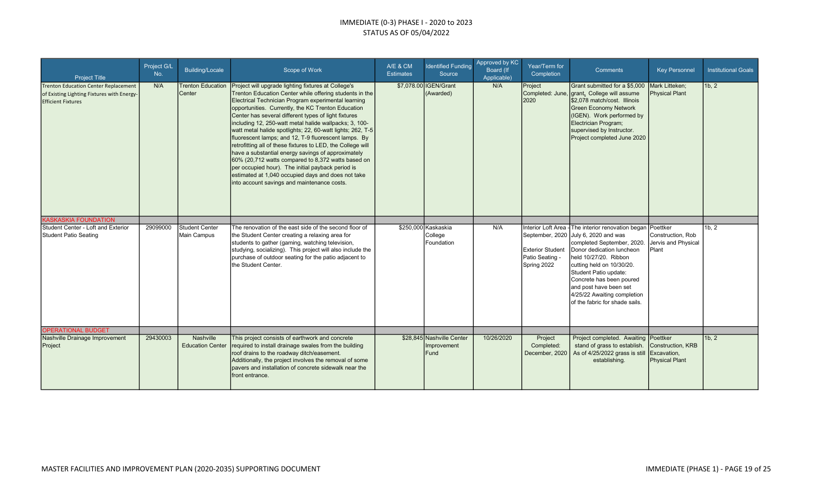| <b>Project Title</b>                                                                                                   | Project G/L<br>No. | Building/Locale                    | Scope of Work                                                                                                                                                                                                                                                                                                                                                                                                                                                                                                                                                                                                                                                                                                                                                                                            | A/E & CM<br><b>Estimates</b> | <b>Identified Funding</b><br>Source          | Approved by KC<br>Board (If<br>Applicable) | Year/Term for<br>Completion                               | <b>Comments</b>                                                                                                                                                                                                                                                                                                                                             | <b>Key Personnel</b>                                          | <b>Institutional Goals</b> |
|------------------------------------------------------------------------------------------------------------------------|--------------------|------------------------------------|----------------------------------------------------------------------------------------------------------------------------------------------------------------------------------------------------------------------------------------------------------------------------------------------------------------------------------------------------------------------------------------------------------------------------------------------------------------------------------------------------------------------------------------------------------------------------------------------------------------------------------------------------------------------------------------------------------------------------------------------------------------------------------------------------------|------------------------------|----------------------------------------------|--------------------------------------------|-----------------------------------------------------------|-------------------------------------------------------------------------------------------------------------------------------------------------------------------------------------------------------------------------------------------------------------------------------------------------------------------------------------------------------------|---------------------------------------------------------------|----------------------------|
| <b>Trenton Education Center Replacement</b><br>of Existing Lighting Fixtures with Energy-<br><b>Efficient Fixtures</b> | N/A                | <b>Trenton Education</b><br>Center | Project will upgrade lighting fixtures at College's<br>Trenton Education Center while offering students in the<br>Electrical Technician Program experimental learning<br>opportunities. Currently, the KC Trenton Education<br>Center has several different types of light fixtures<br>including 12, 250-watt metal halide wallpacks; 3, 100-<br>watt metal halide spotlights; 22, 60-watt lights; 262, T-5<br>fluorescent lamps; and 12, T-9 fluorescent lamps. By<br>retrofitting all of these fixtures to LED, the College will<br>have a substantial energy savings of approximately<br>60% (20,712 watts compared to 8,372 watts based on<br>per occupied hour). The initial payback period is<br>estimated at 1,040 occupied days and does not take<br>into account savings and maintenance costs. |                              | \$7,078.00 IGEN/Grant<br>(Awarded)           | N/A                                        | Project<br>2020                                           | Grant submitted for a \$5,000<br>Completed: June, grant. College will assume<br>\$2.078 match/cost. Illinois<br><b>Green Economy Network</b><br>(IGEN). Work performed by<br>Electrician Program;<br>supervised by Instructor.<br>Project completed June 2020                                                                                               | Mark Litteken;<br><b>Physical Plant</b>                       | 1b, 2                      |
| <b>KASKASKIA FOUNDATION</b>                                                                                            |                    |                                    |                                                                                                                                                                                                                                                                                                                                                                                                                                                                                                                                                                                                                                                                                                                                                                                                          |                              |                                              |                                            |                                                           |                                                                                                                                                                                                                                                                                                                                                             |                                                               |                            |
| Student Center - Loft and Exterior<br>Student Patio Seating<br><b>OPERATIONAL BUDGET</b>                               | 29099000           | Student Center<br>Main Campus      | The renovation of the east side of the second floor of<br>the Student Center creating a relaxing area for<br>students to gather (gaming, watching television,<br>studying, socializing). This project will also include the<br>purchase of outdoor seating for the patio adjacent to<br>the Student Center.                                                                                                                                                                                                                                                                                                                                                                                                                                                                                              |                              | \$250,000 Kaskaskia<br>College<br>Foundation | N/A                                        | <b>Exterior Student</b><br>Patio Seating -<br>Spring 2022 | Interior Loft Area - The interior renovation began<br>September, 2020 July 6, 2020 and was<br>completed September, 2020.<br>Donor dedication luncheon<br>held 10/27/20. Ribbon<br>cutting held on 10/30/20.<br>Student Patio update:<br>Concrete has been poured<br>and post have been set<br>4/25/22 Awaiting completion<br>of the fabric for shade sails. | Poettker<br>Construction, Rob<br>Jervis and Physical<br>Plant | 1b, 2                      |
| Nashville Drainage Improvement                                                                                         | 29430003           | Nashville                          | This project consists of earthwork and concrete                                                                                                                                                                                                                                                                                                                                                                                                                                                                                                                                                                                                                                                                                                                                                          |                              | \$28,845 Nashville Center                    | 10/26/2020                                 | Project                                                   | Project completed. Awaiting                                                                                                                                                                                                                                                                                                                                 | Poettker                                                      | 1b, 2                      |
| Project                                                                                                                |                    | <b>Education Center</b>            | required to install drainage swales from the building<br>roof drains to the roadway ditch/easement.<br>Additionally, the project involves the removal of some<br>pavers and installation of concrete sidewalk near the<br>front entrance.                                                                                                                                                                                                                                                                                                                                                                                                                                                                                                                                                                |                              | Improvement<br><b>Fund</b>                   |                                            | Completed:<br>December, 2020                              | stand of grass to establish.<br>As of 4/25/2022 grass is still<br>establishing.                                                                                                                                                                                                                                                                             | Construction, KRB<br>Excavation,<br><b>Physical Plant</b>     |                            |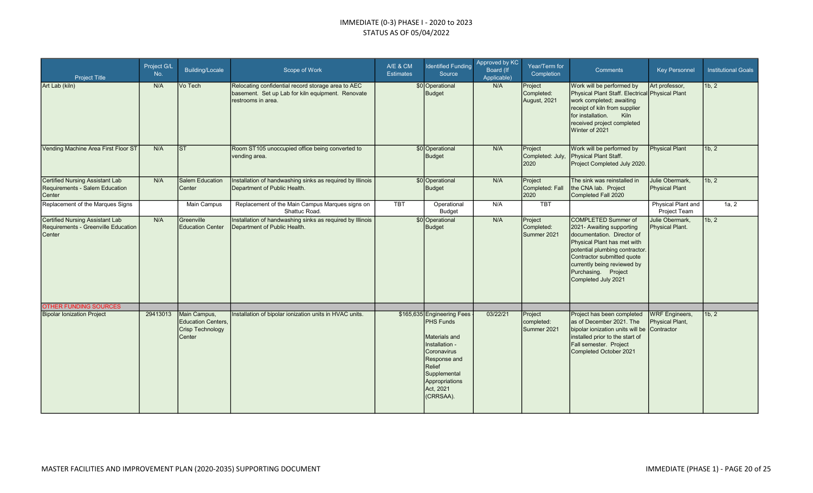| <b>Project Title</b>                                                                    | Project G/L<br>No. | Building/Locale                                                  | Scope of Work                                                                                                                 | A/E & CM<br><b>Estimates</b> | <b>Identified Funding</b><br>Source                                                                                                                                                    | Approved by KC<br>Board (If<br>Applicable) | Year/Term for<br>Completion           | <b>Comments</b>                                                                                                                                                                                                                                                   | <b>Key Personnel</b>                                   | <b>Institutional Goals</b> |
|-----------------------------------------------------------------------------------------|--------------------|------------------------------------------------------------------|-------------------------------------------------------------------------------------------------------------------------------|------------------------------|----------------------------------------------------------------------------------------------------------------------------------------------------------------------------------------|--------------------------------------------|---------------------------------------|-------------------------------------------------------------------------------------------------------------------------------------------------------------------------------------------------------------------------------------------------------------------|--------------------------------------------------------|----------------------------|
| Art Lab (kiln)                                                                          | N/A                | Vo Tech                                                          | Relocating confidential record storage area to AEC<br>basement. Set up Lab for kiln equipment. Renovate<br>restrooms in area. |                              | \$0 Operational<br><b>Budget</b>                                                                                                                                                       | N/A                                        | Project<br>Completed:<br>August, 2021 | Work will be performed by<br>Physical Plant Staff. Electrical Physical Plant<br>work completed; awaiting<br>receipt of kiln from supplier<br>for installation.<br>Kiln<br>received project completed<br>Winter of 2021                                            | Art professor,                                         | 1b, 2                      |
| Vending Machine Area First Floor ST                                                     | N/A                | lsт.                                                             | Room ST105 unoccupied office being converted to<br>vending area.                                                              |                              | \$0 Operational<br>Budget                                                                                                                                                              | N/A                                        | Project<br>Completed: July,<br>2020   | Work will be performed by<br>Physical Plant Staff.<br>Project Completed July 2020.                                                                                                                                                                                | <b>Physical Plant</b>                                  | 1b, 2                      |
| <b>Certified Nursing Assistant Lab</b><br>Requirements - Salem Education<br>Center      | N/A                | <b>Salem Education</b><br>Center                                 | Installation of handwashing sinks as required by Illinois<br>Department of Public Health.                                     |                              | \$0 Operational<br>Budget                                                                                                                                                              | N/A                                        | Project<br>Completed: Fall<br>2020    | The sink was reinstalled in<br>the CNA lab. Project<br>Completed Fall 2020                                                                                                                                                                                        | Julie Obermark,<br><b>Physical Plant</b>               | 1b, 2                      |
| Replacement of the Marques Signs                                                        |                    | Main Campus                                                      | Replacement of the Main Campus Marques signs on<br>Shattuc Road.                                                              | <b>TBT</b>                   | Operational<br><b>Budget</b>                                                                                                                                                           | N/A                                        | <b>TBT</b>                            |                                                                                                                                                                                                                                                                   | Physical Plant and<br>Project Team                     | 1a, 2                      |
| <b>Certified Nursing Assistant Lab</b><br>Requirements - Greenville Education<br>Center | N/A                | Greenville<br><b>Education Center</b>                            | Installation of handwashing sinks as required by Illinois<br>Department of Public Health.                                     |                              | \$0 Operational<br>Budget                                                                                                                                                              | N/A                                        | Project<br>Completed:<br>Summer 2021  | <b>COMPLETED Summer of</b><br>2021- Awaiting supporting<br>documentation. Director of<br>Physical Plant has met with<br>potential plumbing contractor.<br>Contractor submitted quote<br>currently being reviewed by<br>Purchasing. Project<br>Completed July 2021 | Julie Obermark,<br><b>Physical Plant.</b>              | 1b, 2                      |
| <b>OTHER FUNDING SOURCES</b>                                                            |                    |                                                                  |                                                                                                                               |                              |                                                                                                                                                                                        |                                            |                                       |                                                                                                                                                                                                                                                                   |                                                        |                            |
| <b>Bipolar Ionization Project</b>                                                       | 29413013           | Main Campus,<br>Education Centers,<br>Crisp Technology<br>Center | Installation of bipolar ionization units in HVAC units.                                                                       |                              | \$165,635 Engineering Fees<br><b>PHS Funds</b><br>Materials and<br>Installation -<br>Coronavirus<br>Response and<br>Relief<br>Supplemental<br>Appropriations<br>Act, 2021<br>(CRRSAA). | 03/22/21                                   | Project<br>completed:<br>Summer 2021  | Project has been completed<br>as of December 2021. The<br>bipolar ionization units will be<br>installed prior to the start of<br>Fall semester. Project<br>Completed October 2021                                                                                 | <b>WRF</b> Engineers,<br>Physical Plant,<br>Contractor | 1b, 2                      |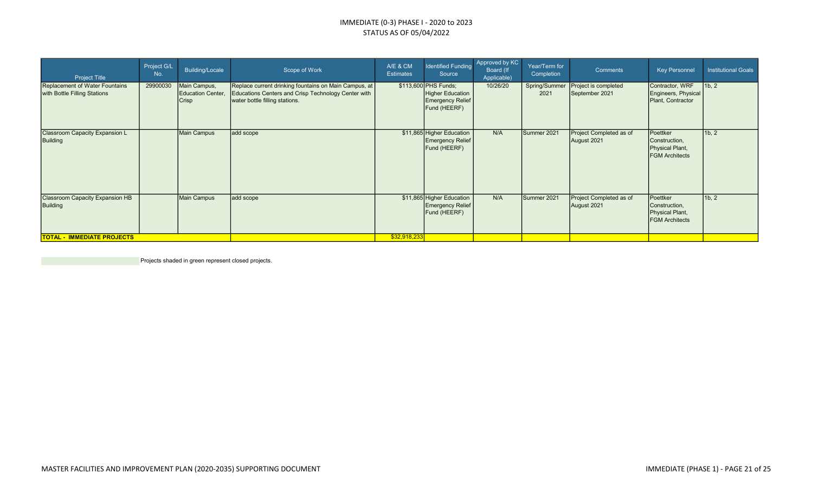| <b>Project Title</b>                                           | Project G/L<br>No. | Building/Locale                                   | Scope of Work                                                                                                                                    | A/E & CM<br><b>Estimates</b> | <b>Identified Funding</b><br>Source                                                 | Approved by KC<br>Board (If<br>Applicable) | Year/Term for<br>Completion | Comments                               | <b>Key Personnel</b>                                                  | <b>Institutional Goals</b>      |
|----------------------------------------------------------------|--------------------|---------------------------------------------------|--------------------------------------------------------------------------------------------------------------------------------------------------|------------------------------|-------------------------------------------------------------------------------------|--------------------------------------------|-----------------------------|----------------------------------------|-----------------------------------------------------------------------|---------------------------------|
| Replacement of Water Fountains<br>with Bottle Filling Stations | 29900030           | Main Campus,<br>Education Center,<br><b>Crisp</b> | Replace current drinking fountains on Main Campus, at  <br>Educations Centers and Crisp Technology Center with<br>water bottle filling stations. |                              | \$113,600 PHS Funds;<br>Higher Education<br><b>Emergency Relief</b><br>Fund (HEERF) | 10/26/20                                   | Spring/Summer<br>2021       | Project is completed<br>September 2021 | Contractor, WRF<br>Engineers, Physical<br>Plant, Contractor           | 1 <sub>b</sub> , 2 <sub>1</sub> |
| Classroom Capacity Expansion L<br><b>Building</b>              |                    | <b>Main Campus</b>                                | add scope                                                                                                                                        |                              | \$11,865 Higher Education<br><b>Emergency Relief</b><br>Fund (HEERF)                | N/A                                        | Summer 2021                 | Project Completed as of<br>August 2021 | Poettker<br>Construction,<br>Physical Plant,<br><b>FGM</b> Architects | 1b, 2                           |
| <b>Classroom Capacity Expansion HB</b><br><b>Building</b>      |                    | <b>Main Campus</b>                                | add scope                                                                                                                                        |                              | \$11,865 Higher Education<br><b>Emergency Relief</b><br>Fund (HEERF)                | N/A                                        | Summer 2021                 | Project Completed as of<br>August 2021 | Poettker<br>Construction,<br>Physical Plant,<br><b>FGM</b> Architects | 1b, 2                           |
| <b>TOTAL - IMMEDIATE PROJECTS</b>                              |                    |                                                   |                                                                                                                                                  | \$32,918,233                 |                                                                                     |                                            |                             |                                        |                                                                       |                                 |

**Projects shaded in green represent closed projects.**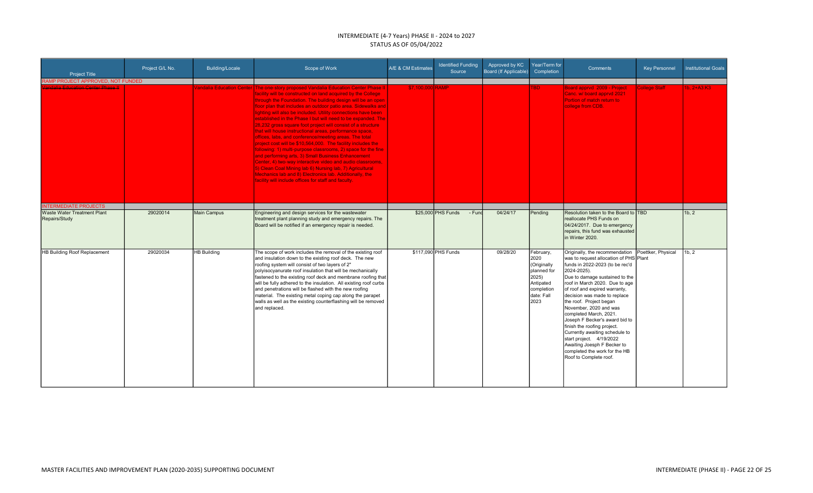#### INTERMEDIATE (4-7 Years) PHASE II - 2024 to 2027 STATUS AS OF 05/04/2022

| <b>Project Title</b>                                | Project G/L No. | Building/Locale    | Scope of Work                                                                                                                                                                                                                                                                                                                                                                                                                                                                                                                                                                                                                                                                                                                                                                                                                                                                                                                                                                                                                                  | A/E & CM Estimates | <b>Identified Funding</b><br>Source | Approved by KC<br>Board (If Applicable) | Year/Term for<br>Completion                                                                                      | Comments                                                                                                                                                                                                                                                                                                                                                                                                                                                                                                                                                                | <b>Key Personnel</b> | <b>Institutional Goals</b> |
|-----------------------------------------------------|-----------------|--------------------|------------------------------------------------------------------------------------------------------------------------------------------------------------------------------------------------------------------------------------------------------------------------------------------------------------------------------------------------------------------------------------------------------------------------------------------------------------------------------------------------------------------------------------------------------------------------------------------------------------------------------------------------------------------------------------------------------------------------------------------------------------------------------------------------------------------------------------------------------------------------------------------------------------------------------------------------------------------------------------------------------------------------------------------------|--------------------|-------------------------------------|-----------------------------------------|------------------------------------------------------------------------------------------------------------------|-------------------------------------------------------------------------------------------------------------------------------------------------------------------------------------------------------------------------------------------------------------------------------------------------------------------------------------------------------------------------------------------------------------------------------------------------------------------------------------------------------------------------------------------------------------------------|----------------------|----------------------------|
| RAMP PROJECT APPROVED, NOT FUNDED                   |                 |                    |                                                                                                                                                                                                                                                                                                                                                                                                                                                                                                                                                                                                                                                                                                                                                                                                                                                                                                                                                                                                                                                |                    |                                     |                                         |                                                                                                                  |                                                                                                                                                                                                                                                                                                                                                                                                                                                                                                                                                                         |                      |                            |
| <del>'andalia Education Center Phase II</del>       |                 |                    | Vandalia Education Center The one-story proposed Vandalia Education Center Phase II<br>acility will be constructed on land acquired by the College<br>through the Foundation. The building design will be an open<br>floor plan that includes an outdoor patio area. Sidewalks and<br>lighting will also be included. Utility connections have been<br>established in the Phase I but will need to be expanded. The I<br>28,232 gross square foot project will consist of a structure<br>that will house instructional areas, performance space,<br>offices, labs, and conference/meeting areas. The total<br>project cost will be \$10,564,000. The facility includes the<br>following: 1) multi-purpose classrooms, 2) space for the fine<br>and performing arts, 3) Small Business Enhancement<br>Center, 4) two-way interactive video and audio classrooms,<br>5) Clean Coal Mining lab 6) Nursing lab, 7) Agricultural<br>Mechanics lab and 8) Electronics lab. Additionally, the<br>facility will include offices for staff and faculty. | \$7,100,000 RAMP   |                                     |                                         | <b>TBD</b>                                                                                                       | Board apprvd 2009 - Project<br>Canc. w/ board appryd 2021<br><b>Portion of match return to</b><br>college from CDB.                                                                                                                                                                                                                                                                                                                                                                                                                                                     | <b>College Staff</b> | 1b. 2+A3:K3                |
| <b>INTERMEDIATE PROJECTS</b>                        |                 |                    |                                                                                                                                                                                                                                                                                                                                                                                                                                                                                                                                                                                                                                                                                                                                                                                                                                                                                                                                                                                                                                                |                    |                                     |                                         |                                                                                                                  |                                                                                                                                                                                                                                                                                                                                                                                                                                                                                                                                                                         |                      |                            |
| <b>Waste Water Treatment Plant</b><br>Repairs/Study | 29020014        | <b>Main Campus</b> | Engineering and design services for the wastewater<br>treatment plant planning study and emergency repairs. The<br>Board will be notified if an emergency repair is needed.                                                                                                                                                                                                                                                                                                                                                                                                                                                                                                                                                                                                                                                                                                                                                                                                                                                                    |                    | $$25.000$ PHS Funds<br>- Fund       | 04/24/17                                | Pending                                                                                                          | Resolution taken to the Board to TBD<br>reallocate PHS Funds on<br>04/24/2017. Due to emergency<br>repairs, this fund was exhausted<br>in Winter 2020.                                                                                                                                                                                                                                                                                                                                                                                                                  |                      | 1b.2                       |
| HB Building Roof Replacement                        | 29020034        | <b>HB Building</b> | The scope of work includes the removal of the existing roof<br>and insulation down to the existing roof deck. The new<br>roofing system will consist of two layers of 2"<br>polyisocyanurate roof insulation that will be mechanically<br>fastened to the existing roof deck and membrane roofing that<br>will be fully adhered to the insulation. All existing roof curbs<br>and penetrations will be flashed with the new roofing<br>material. The existing metal coping cap along the parapet<br>walls as well as the existing counterflashing will be removed<br>and replaced.                                                                                                                                                                                                                                                                                                                                                                                                                                                             |                    | \$117,090 PHS Funds                 | 09/28/20                                | February,<br>2020<br>(Originally<br><b>planned</b> for<br>2025)<br>Antipated<br>completion<br>date: Fall<br>2023 | Originally, the recommendation<br>was to request allocation of PHS Plant<br>funds in 2022-2023 (to be rec'd<br>2024-2025).<br>Due to damage sustained to the<br>roof in March 2020. Due to age<br>of roof and expired warranty,<br>decision was made to replace<br>the roof. Project began<br>November, 2020 and was<br>completed March, 2021.<br>Joseph F Becker's award bid to<br>finish the roofing project.<br>Currently awaiting schedule to<br>start project. 4/19/2022<br>Awaiting Joesph F Becker to<br>completed the work for the HB<br>Roof to Complete roof. | Poettker, Physical   | 1b.2                       |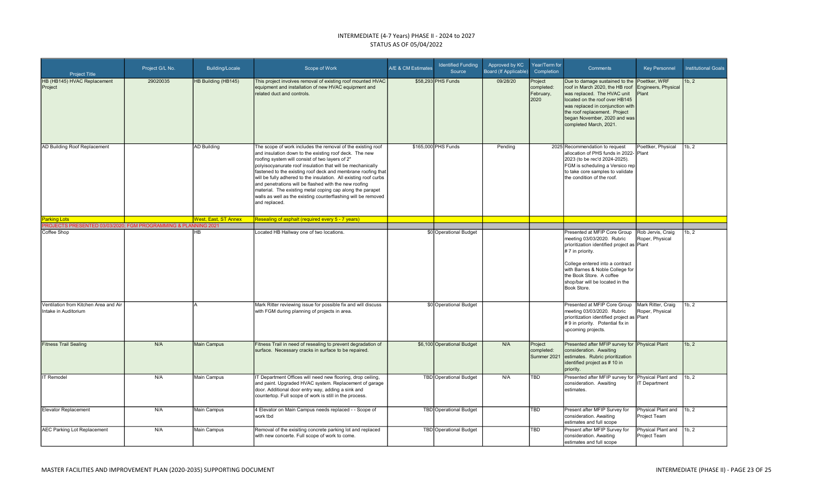#### INTERMEDIATE (4-7 Years) PHASE II - 2024 to 2027 STATUS AS OF 05/04/2022

| <b>Project Title</b>                                           | Project G/L No. | <b>Building/Locale</b>      | Scope of Work                                                                                                                                                                                                                                                                                                                                                                                                                                                                                                                                                                      | A/E & CM Estimates | <b>Identified Funding</b><br>Source | Approved by KC<br>Board (If Applicable) | Year/Term for<br>Completion                | Comments                                                                                                                                                                                                                                                                         | <b>Key Personnel</b>                         | <b>Institutional Goals</b> |
|----------------------------------------------------------------|-----------------|-----------------------------|------------------------------------------------------------------------------------------------------------------------------------------------------------------------------------------------------------------------------------------------------------------------------------------------------------------------------------------------------------------------------------------------------------------------------------------------------------------------------------------------------------------------------------------------------------------------------------|--------------------|-------------------------------------|-----------------------------------------|--------------------------------------------|----------------------------------------------------------------------------------------------------------------------------------------------------------------------------------------------------------------------------------------------------------------------------------|----------------------------------------------|----------------------------|
| HB (HB145) HVAC Replacement<br>Project                         | 29020035        | HB Building (HB145)         | This project involves removal of existing roof mounted HVAC<br>equipment and installation of new HVAC equipment and<br>related duct and controls.                                                                                                                                                                                                                                                                                                                                                                                                                                  |                    | \$58,293 PHS Funds                  | 09/28/20                                | Project<br>completed:<br>February,<br>2020 | Due to damage sustained to the<br>roof in March 2020, the HB roof<br>was replaced. The HVAC unit<br>located on the roof over HB145<br>was replaced in conjunction with<br>the roof replacement. Project<br>began November, 2020 and was<br>completed March, 2021.                | Poettker, WRF<br>ingineers, Physical<br>lant | 1b, 2                      |
| AD Building Roof Replacement                                   |                 | <b>AD Building</b>          | The scope of work includes the removal of the existing roof<br>and insulation down to the existing roof deck. The new<br>roofing system will consist of two layers of 2"<br>polyisocyanurate roof insulation that will be mechanically<br>fastened to the existing roof deck and membrane roofing that<br>will be fully adhered to the insulation. All existing roof curbs<br>and penetrations will be flashed with the new roofing<br>material. The existing metal coping cap along the parapet<br>walls as well as the existing counterflashing will be removed<br>and replaced. |                    | \$165,000 PHS Funds                 | Pendina                                 |                                            | 2025 Recommendation to request<br>allocation of PHS funds in 2022- Plant<br>2023 (to be rec'd 2024-2025).<br>FGM is scheduling a Versico rep<br>to take core samples to validate<br>the condition of the roof.                                                                   | Poettker, Physical                           | 1b, 2                      |
| <b>Parking Lots</b>                                            |                 | <b>West, East, ST Annex</b> | Resealing of asphalt (required every 5 - 7 years)                                                                                                                                                                                                                                                                                                                                                                                                                                                                                                                                  |                    |                                     |                                         |                                            |                                                                                                                                                                                                                                                                                  |                                              |                            |
| PROJECTS PRESENTED 03/03/2020; FGM PROGRAMMING & PLANNING 2021 |                 |                             |                                                                                                                                                                                                                                                                                                                                                                                                                                                                                                                                                                                    |                    |                                     |                                         |                                            |                                                                                                                                                                                                                                                                                  |                                              |                            |
| Coffee Shop                                                    |                 | HB.                         | Located HB Hallway one of two locations.                                                                                                                                                                                                                                                                                                                                                                                                                                                                                                                                           |                    | \$0 Operational Budget              |                                         |                                            | Presented at MFIP Core Group<br>meeting 03/03/2020. Rubric<br>prioritization identified project as Plant<br># 7 in priority.<br>College entered into a contract<br>with Barnes & Noble College for<br>the Book Store. A coffee<br>shop/bar will be located in the<br>Book Store. | Rob Jervis, Craig<br>Roper, Physical         | 1b, 2                      |
| Ventilation from Kitchen Area and Air<br>Intake in Auditorium  |                 |                             | Mark Ritter reviewing issue for possible fix and will discuss<br>with FGM during planning of projects in area.                                                                                                                                                                                                                                                                                                                                                                                                                                                                     |                    | \$0 Operational Budget              |                                         |                                            | Presented at MFIP Core Group<br>meeting 03/03/2020. Rubric<br>prioritization identified project as Plant<br># 9 in priority. Potential fix in<br>upcoming projects.                                                                                                              | Mark Ritter, Craig<br>Roper, Physical        | 1b, 2                      |
| <b>Fitness Trail Sealing</b>                                   | N/A             | Main Campus                 | Fitness Trail in need of resealing to prevent degradation of<br>surface. Necessary cracks in surface to be repaired.                                                                                                                                                                                                                                                                                                                                                                                                                                                               |                    | \$6,100 Operational Budget          | N/A                                     | Project<br>completed:<br>Summer 2021       | Presented after MFIP survey for Physical Plant<br>consideration. Awaiting<br>estimates. Rubric prioritization<br>identified project as # 10 in<br>priority.                                                                                                                      |                                              | 1b, 2                      |
| IT Remodel                                                     | N/A             | Main Campus                 | T Department Offices will need new flooring, drop ceiling,<br>and paint. Upgraded HVAC system. Replacement of garage<br>door. Additional door entry way, adding a sink and<br>countertop. Full scope of work is still in the process.                                                                                                                                                                                                                                                                                                                                              |                    | TBD Operational Budget              | N/A                                     | <b>TBD</b>                                 | Presented after MFIP survey for Physical Plant and<br>consideration. Awaiting<br>estimates.                                                                                                                                                                                      | <b>IT Department</b>                         | 1b, 2                      |
| Elevator Replacement                                           | N/A             | Main Campus                 | 4 Elevator on Main Campus needs replaced - - Scope of<br>work tbd                                                                                                                                                                                                                                                                                                                                                                                                                                                                                                                  |                    | TBD Operational Budget              |                                         | <b>TBD</b>                                 | Present after MFIP Survey for<br>consideration. Awaiting<br>estimates and full scope                                                                                                                                                                                             | Physical Plant and 1b, 2<br>Project Team     |                            |
| AEC Parking Lot Replacement                                    | N/A             | Main Campus                 | Removal of the exisiting concrete parking lot and replaced<br>with new concerte. Full scope of work to come.                                                                                                                                                                                                                                                                                                                                                                                                                                                                       |                    | <b>TBD</b> Operational Budget       |                                         | <b>TBD</b>                                 | Present after MFIP Survey for<br>consideration. Awaiting<br>estimates and full scope                                                                                                                                                                                             | Physical Plant and<br>Project Team           | 1b, 2                      |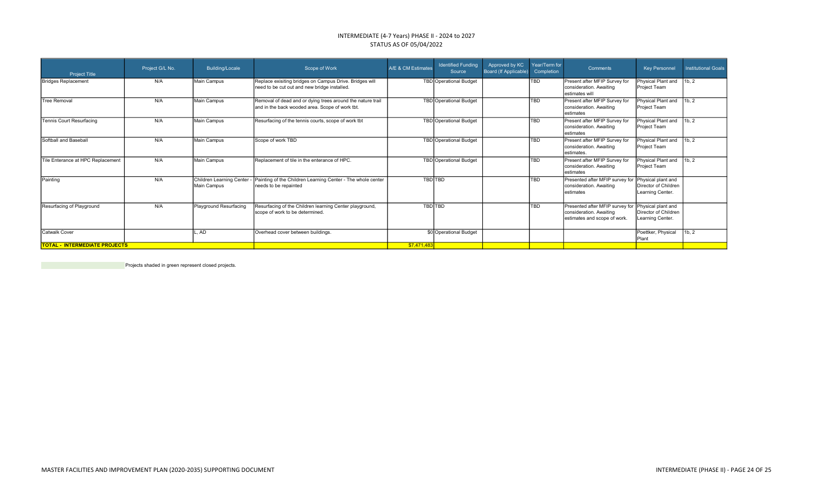#### INTERMEDIATE (4-7 Years) PHASE II - 2024 to 2027 STATUS AS OF 05/04/2022

| <b>Project Title</b>                 | Project G/L No. | <b>Building/Locale</b>                    | Scope of Work                                                                                                 | A/E & CM Estimates | <b>Identified Funding</b><br>Source | Approved by KC<br>Board (If Applicable) | Year/Term for<br>Completion | Comments                                                                                                      | Key Personnel                            | <b>Institutional Goals</b> |
|--------------------------------------|-----------------|-------------------------------------------|---------------------------------------------------------------------------------------------------------------|--------------------|-------------------------------------|-----------------------------------------|-----------------------------|---------------------------------------------------------------------------------------------------------------|------------------------------------------|----------------------------|
| Bridges Replacement                  | N/A             | Main Campus                               | Replace exisiting bridges on Campus Drive. Bridges will<br>need to be cut out and new bridge installed.       |                    | TBD Operational Budget              |                                         | ltbd                        | Present after MFIP Survey for<br>consideration. Awaiting<br>lestimates will                                   | Physical Plant and<br>Project Team       | 1b, 2                      |
| <b>Tree Removal</b>                  | N/A             | Main Campus                               | Removal of dead and or dying trees around the nature trail<br>and in the back wooded area. Scope of work tbt. |                    | TBD Operational Budget              |                                         | <b>TBD</b>                  | Present after MFIP Survey for<br>consideration, Awaiting<br>lestimates                                        | Physical Plant and<br>Project Team       | 1b, 2                      |
| <b>Tennis Court Resurfacing</b>      | N/A             | Main Campus                               | Resurfacing of the tennis courts, scope of work tbt                                                           |                    | TBD Operational Budget              |                                         | <b>TBD</b>                  | Present after MFIP Survey for<br>consideration. Awaiting<br>Iestimates                                        | Physical Plant and<br>Project Team       | 1 <sub>b.2</sub>           |
| Softball and Baseball                | N/A             | Main Campus                               | Scope of work TBD                                                                                             |                    | TBD Operational Budget              |                                         | ltbd                        | Present after MFIP Survey for<br>consideration. Awaiting<br>lestimates.                                       | Physical Plant and<br>Project Team       | 11b.2                      |
| Tile Enterance at HPC Replacement    | N/A             | Main Campus                               | Replacement of tile in the enterance of HPC.                                                                  |                    | TBD Operational Budget              |                                         | <b>TBD</b>                  | Present after MFIP Survey for<br>Iconsideration. Awaiting<br>lestimates                                       | Physical Plant and<br>Project Team       | 1b, 2                      |
| Painting                             | N/A             | Children Learning Center -<br>Main Campus | Painting of the Children Learning Center - The whole center<br>needs to be repainted                          |                    | <b>TBD</b><br>TBD                   |                                         | <b>TBD</b>                  | Presented after MFIP survey for Physical plant and<br>Iconsideration. Awaiting<br>estimates                   | Director of Children<br>Learning Center. |                            |
| Resurfacing of Playground            | N/A             | Playground Resurfacing                    | Resurfacing of the Children learning Center playground,<br>scope of work to be determined                     |                    | <b>TBD</b><br>TBD                   |                                         | <b>TBD</b>                  | Presented after MFIP survey for Physical plant and<br>consideration. Awaiting<br>estimates and scope of work. | Director of Children<br>Learning Center. |                            |
| <b>Catwalk Cover</b>                 |                 | AD.                                       | Overhead cover between buildings.                                                                             |                    | \$0 Operational Budget              |                                         |                             |                                                                                                               | Poettker, Physical<br><b>I</b> Plant     | 1b, 2                      |
| <b>TOTAL - INTERMEDIATE PROJECTS</b> |                 |                                           |                                                                                                               | \$7,471,483        |                                     |                                         |                             |                                                                                                               |                                          |                            |

Projects shaded in green represent closed projects.